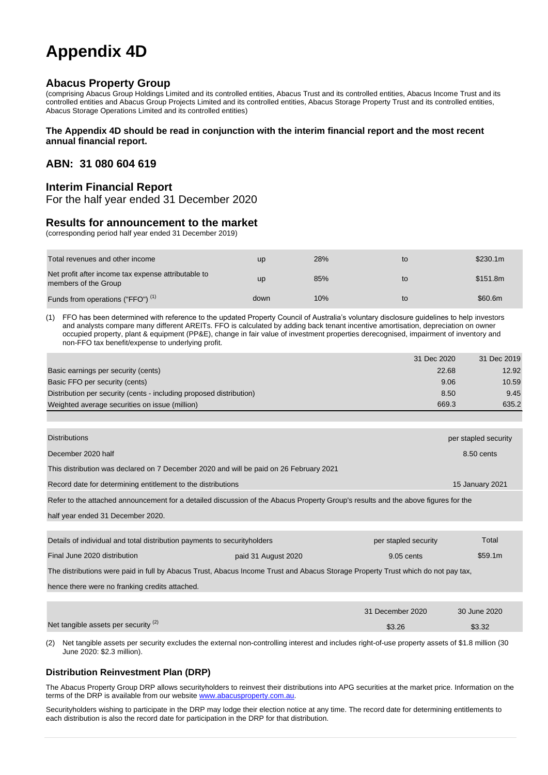# **Appendix 4D**

# **Abacus Property Group**

(comprising Abacus Group Holdings Limited and its controlled entities, Abacus Trust and its controlled entities, Abacus Income Trust and its controlled entities and Abacus Group Projects Limited and its controlled entities, Abacus Storage Property Trust and its controlled entities, Abacus Storage Operations Limited and its controlled entities)

#### **The Appendix 4D should be read in conjunction with the interim financial report and the most recent annual financial report.**

# **ABN: 31 080 604 619**

# **Interim Financial Report**

For the half year ended 31 December 2020

#### **Results for announcement to the market**

(corresponding period half year ended 31 December 2019)

| Total revenues and other income                                             | <b>up</b> | 28% | to | \$230.1m |
|-----------------------------------------------------------------------------|-----------|-----|----|----------|
| Net profit after income tax expense attributable to<br>members of the Group | up        | 85% | to | \$151.8m |
| Funds from operations ("FFO") <sup>(1)</sup>                                | down      | 10% | to | \$60.6m  |

(1) FFO has been determined with reference to the updated Property Council of Australia's voluntary disclosure guidelines to help investors and analysts compare many different AREITs. FFO is calculated by adding back tenant incentive amortisation, depreciation on owner occupied property, plant & equipment (PP&E), change in fair value of investment properties derecognised, impairment of inventory and non-FFO tax benefit/expense to underlying profit.

|                                                                     | 31 Dec 2020 | 31 Dec 2019 |
|---------------------------------------------------------------------|-------------|-------------|
| Basic earnings per security (cents)                                 | 22.68       | 12.92       |
| Basic FFO per security (cents)                                      | 9.06        | 10.59       |
| Distribution per security (cents - including proposed distribution) | 8.50        | 9.45        |
| Weighted average securities on issue (million)                      | 669.3       | 635.2       |

| <b>Distributions</b>                                                                                                              | per stapled security |
|-----------------------------------------------------------------------------------------------------------------------------------|----------------------|
| December 2020 half                                                                                                                | $8.50$ cents         |
| This distribution was declared on 7 December 2020 and will be paid on 26 February 2021                                            |                      |
| Record date for determining entitlement to the distributions                                                                      | 15 January 2021      |
| Refer to the attached announcement for a detailed discussion of the Abacus Property Group's results and the above figures for the |                      |

half year ended 31 December 2020.

| Details of individual and total distribution payments to security holders                                                        |                     | per stapled security | Total        |
|----------------------------------------------------------------------------------------------------------------------------------|---------------------|----------------------|--------------|
| Final June 2020 distribution                                                                                                     | paid 31 August 2020 |                      | \$59.1m      |
| The distributions were paid in full by Abacus Trust, Abacus Income Trust and Abacus Storage Property Trust which do not pay tax, |                     |                      |              |
| hence there were no franking credits attached.                                                                                   |                     |                      |              |
|                                                                                                                                  |                     |                      |              |
|                                                                                                                                  |                     | 31 December 2020     | 30 June 2020 |
| Net tangible assets per security (2)                                                                                             |                     | \$3.26               | \$3.32       |

(2) Net tangible assets per security excludes the external non-controlling interest and includes right-of-use property assets of \$1.8 million (30 June 2020: \$2.3 million).

#### **Distribution Reinvestment Plan (DRP)**

The Abacus Property Group DRP allows securityholders to reinvest their distributions into APG securities at the market price. Information on the terms of the DRP is available from our websit[e www.abacusproperty.com.au.](http://www.abacusproperty.com.au/)

Securityholders wishing to participate in the DRP may lodge their election notice at any time. The record date for determining entitlements to each distribution is also the record date for participation in the DRP for that distribution.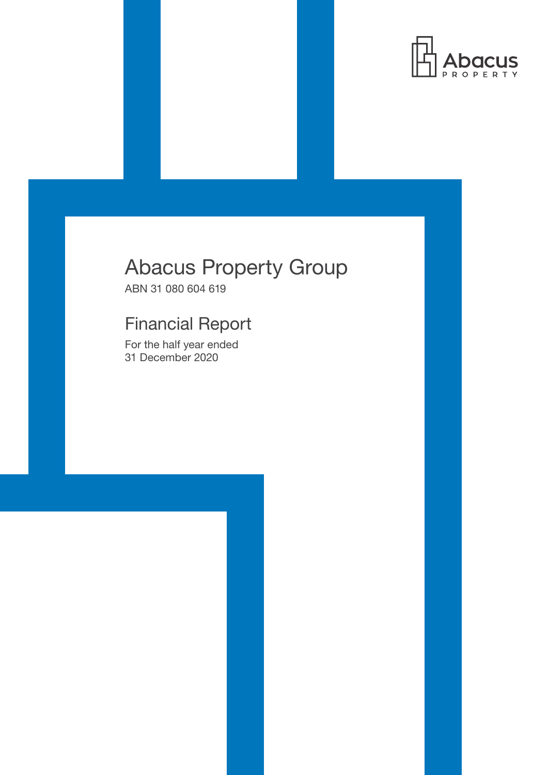

# Abacus Property Group

ABN 31 080 604 619

# Financial Report

For the half year ended 31 December 2020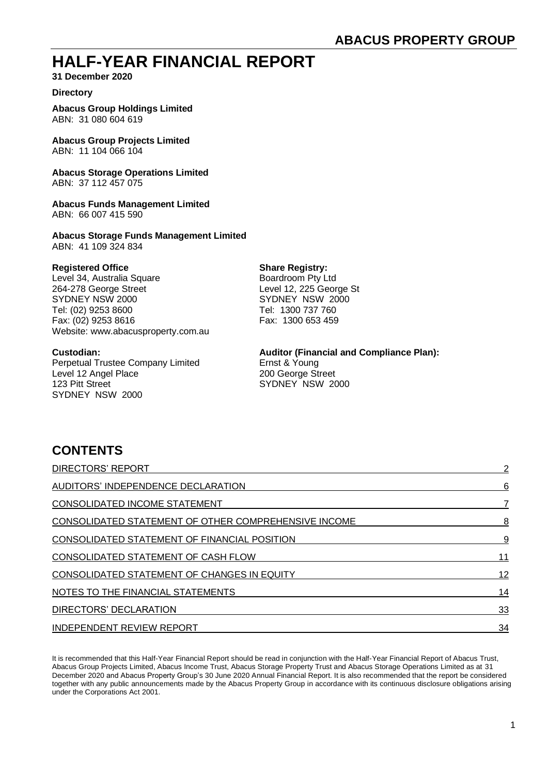# **HALF-YEAR FINANCIAL REPORT**

**31 December 2020**

### **Directory**

**Abacus Group Holdings Limited** ABN: 31 080 604 619

**Abacus Group Projects Limited** ABN: 11 104 066 104

**Abacus Storage Operations Limited** ABN: 37 112 457 075

**Abacus Funds Management Limited** ABN: 66 007 415 590

**Abacus Storage Funds Management Limited** ABN: 41 109 324 834

#### **Registered Office Share Registry:**

Level 34, Australia Square Boardroom Pty Ltd 264-278 George Street Level 12, 225 George St SYDNEY NSW 2000 SYDNEY NSW 2000 Tel: (02) 9253 8600 Tel: 1300 737 760 Fax: (02) 9253 8616 Fax: 1300 653 459 Website: www.abacusproperty.com.au

Perpetual Trustee Company Limited Ernst & Young Level 12 Angel Place 200 George Street 123 Pitt Street Street Street Street Street Street Street Street Street Street Street Street Street Street Street Street Street Street Street Street Street Street Street Street Street Street Street Street Street Street Str SYDNEY NSW 2000

#### **Custodian: Auditor (Financial and Compliance Plan):**

# **CONTENTS**

| <b>DIRECTORS' REPORT</b>                             | 2  |
|------------------------------------------------------|----|
| AUDITORS' INDEPENDENCE DECLARATION                   | 6  |
| <b>CONSOLIDATED INCOME STATEMENT</b>                 |    |
| CONSOLIDATED STATEMENT OF OTHER COMPREHENSIVE INCOME | 8  |
| CONSOLIDATED STATEMENT OF FINANCIAL POSITION         | 9  |
| CONSOLIDATED STATEMENT OF CASH FLOW                  | 11 |
| <b>CONSOLIDATED STATEMENT OF CHANGES IN EQUITY</b>   | 12 |
| NOTES TO THE FINANCIAL STATEMENTS                    | 14 |
| DIRECTORS' DECLARATION                               | 33 |
| <b>INDEPENDENT REVIEW REPORT</b>                     | 34 |

It is recommended that this Half-Year Financial Report should be read in conjunction with the Half-Year Financial Report of Abacus Trust, Abacus Group Projects Limited, Abacus Income Trust, Abacus Storage Property Trust and Abacus Storage Operations Limited as at 31 December 2020 and Abacus Property Group's 30 June 2020 Annual Financial Report. It is also recommended that the report be considered together with any public announcements made by the Abacus Property Group in accordance with its continuous disclosure obligations arising under the Corporations Act 2001.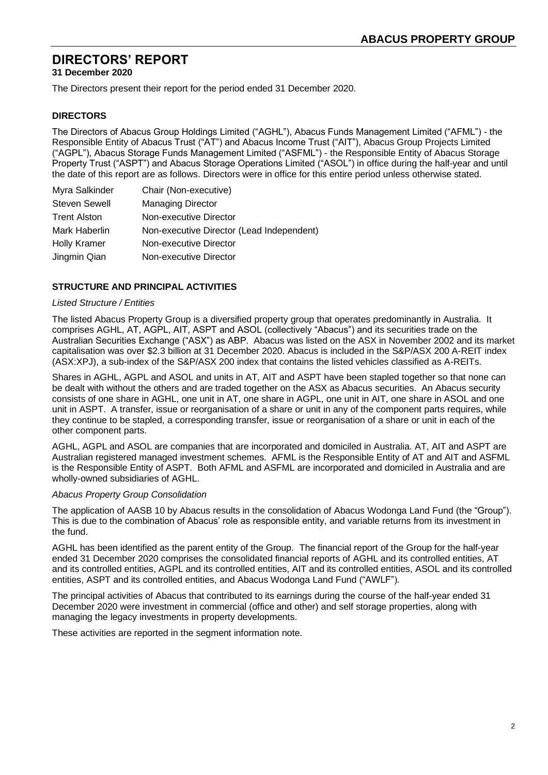**31 December 2020**

The Directors present their report for the period ended 31 December 2020.

# **DIRECTORS**

The Directors of Abacus Group Holdings Limited ("AGHL"), Abacus Funds Management Limited ("AFML") - the Responsible Entity of Abacus Trust ("AT") and Abacus Income Trust ("AIT"), Abacus Group Projects Limited ("AGPL"), Abacus Storage Funds Management Limited ("ASFML") - the Responsible Entity of Abacus Storage Property Trust ("ASPT") and Abacus Storage Operations Limited ("ASOL") in office during the half-year and until the date of this report are as follows. Directors were in office for this entire period unless otherwise stated.

| Myra Salkinder       | Chair (Non-executive)                     |
|----------------------|-------------------------------------------|
| <b>Steven Sewell</b> | <b>Managing Director</b>                  |
| <b>Trent Alston</b>  | Non-executive Director                    |
| Mark Haberlin        | Non-executive Director (Lead Independent) |
| <b>Holly Kramer</b>  | Non-executive Director                    |
| Jingmin Qian         | Non-executive Director                    |

# **STRUCTURE AND PRINCIPAL ACTIVITIES**

#### *Listed Structure / Entities*

The listed Abacus Property Group is a diversified property group that operates predominantly in Australia. It comprises AGHL, AT, AGPL, AIT, ASPT and ASOL (collectively "Abacus") and its securities trade on the Australian Securities Exchange ("ASX") as ABP. Abacus was listed on the ASX in November 2002 and its market capitalisation was over \$2.3 billion at 31 December 2020. Abacus is included in the S&P/ASX 200 A-REIT index (ASX:XPJ), a sub-index of the S&P/ASX 200 index that contains the listed vehicles classified as A-REITs.

Shares in AGHL, AGPL and ASOL and units in AT, AIT and ASPT have been stapled together so that none can be dealt with without the others and are traded together on the ASX as Abacus securities. An Abacus security consists of one share in AGHL, one unit in AT, one share in AGPL, one unit in AIT, one share in ASOL and one unit in ASPT. A transfer, issue or reorganisation of a share or unit in any of the component parts requires, while they continue to be stapled, a corresponding transfer, issue or reorganisation of a share or unit in each of the other component parts.

AGHL, AGPL and ASOL are companies that are incorporated and domiciled in Australia. AT, AIT and ASPT are Australian registered managed investment schemes. AFML is the Responsible Entity of AT and AIT and ASFML is the Responsible Entity of ASPT. Both AFML and ASFML are incorporated and domiciled in Australia and are wholly-owned subsidiaries of AGHL.

#### *Abacus Property Group Consolidation*

The application of AASB 10 by Abacus results in the consolidation of Abacus Wodonga Land Fund (the "Group"). This is due to the combination of Abacus' role as responsible entity, and variable returns from its investment in the fund.

AGHL has been identified as the parent entity of the Group. The financial report of the Group for the half-year ended 31 December 2020 comprises the consolidated financial reports of AGHL and its controlled entities, AT and its controlled entities, AGPL and its controlled entities, AIT and its controlled entities, ASOL and its controlled entities, ASPT and its controlled entities, and Abacus Wodonga Land Fund ("AWLF").

The principal activities of Abacus that contributed to its earnings during the course of the half-year ended 31 December 2020 were investment in commercial (office and other) and self storage properties, along with managing the legacy investments in property developments.

These activities are reported in the segment information note.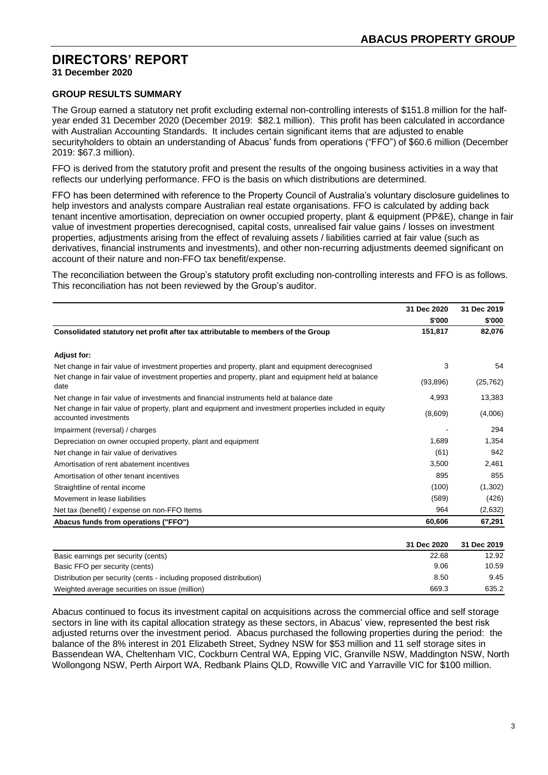**31 December 2020**

# **GROUP RESULTS SUMMARY**

The Group earned a statutory net profit excluding external non-controlling interests of \$151.8 million for the halfyear ended 31 December 2020 (December 2019: \$82.1 million). This profit has been calculated in accordance with Australian Accounting Standards. It includes certain significant items that are adjusted to enable securityholders to obtain an understanding of Abacus' funds from operations ("FFO") of \$60.6 million (December 2019: \$67.3 million).

FFO is derived from the statutory profit and present the results of the ongoing business activities in a way that reflects our underlying performance. FFO is the basis on which distributions are determined.

FFO has been determined with reference to the Property Council of Australia's voluntary disclosure guidelines to help investors and analysts compare Australian real estate organisations. FFO is calculated by adding back tenant incentive amortisation, depreciation on owner occupied property, plant & equipment (PP&E), change in fair value of investment properties derecognised, capital costs, unrealised fair value gains / losses on investment properties, adjustments arising from the effect of revaluing assets / liabilities carried at fair value (such as derivatives, financial instruments and investments), and other non-recurring adjustments deemed significant on account of their nature and non-FFO tax benefit/expense.

The reconciliation between the Group's statutory profit excluding non-controlling interests and FFO is as follows. This reconciliation has not been reviewed by the Group's auditor.

|                                                                                                                                 | 31 Dec 2020 | 31 Dec 2019 |
|---------------------------------------------------------------------------------------------------------------------------------|-------------|-------------|
|                                                                                                                                 | \$'000      | \$'000      |
| Consolidated statutory net profit after tax attributable to members of the Group                                                | 151,817     | 82,076      |
| Adjust for:                                                                                                                     |             |             |
| Net change in fair value of investment properties and property, plant and equipment derecognised                                | 3           | 54          |
| Net change in fair value of investment properties and property, plant and equipment held at balance<br>date                     | (93, 896)   | (25, 762)   |
| Net change in fair value of investments and financial instruments held at balance date                                          | 4,993       | 13,383      |
| Net change in fair value of property, plant and equipment and investment properties included in equity<br>accounted investments | (8,609)     | (4,006)     |
| Impairment (reversal) / charges                                                                                                 |             | 294         |
| Depreciation on owner occupied property, plant and equipment                                                                    | 1,689       | 1,354       |
| Net change in fair value of derivatives                                                                                         | (61)        | 942         |
| Amortisation of rent abatement incentives                                                                                       | 3,500       | 2,461       |
| Amortisation of other tenant incentives                                                                                         | 895         | 855         |
| Straightline of rental income                                                                                                   | (100)       | (1,302)     |
| Movement in lease liabilities                                                                                                   | (589)       | (426)       |
| Net tax (benefit) / expense on non-FFO Items                                                                                    | 964         | (2,632)     |
| Abacus funds from operations ("FFO")                                                                                            | 60,606      | 67,291      |
|                                                                                                                                 | 31 Dec 2020 | 31 Dec 2019 |
| Basic earnings per security (cents)                                                                                             | 22.68       | 12.92       |
| Basic FFO per security (cents)                                                                                                  | 9.06        | 10.59       |
| Distribution per security (cents - including proposed distribution)                                                             | 8.50        | 9.45        |
| Weighted average securities on issue (million)                                                                                  | 669.3       | 635.2       |

Abacus continued to focus its investment capital on acquisitions across the commercial office and self storage sectors in line with its capital allocation strategy as these sectors, in Abacus' view, represented the best risk adjusted returns over the investment period. Abacus purchased the following properties during the period: the balance of the 8% interest in 201 Elizabeth Street, Sydney NSW for \$53 million and 11 self storage sites in Bassendean WA, Cheltenham VIC, Cockburn Central WA, Epping VIC, Granville NSW, Maddington NSW, North Wollongong NSW, Perth Airport WA, Redbank Plains QLD, Rowville VIC and Yarraville VIC for \$100 million.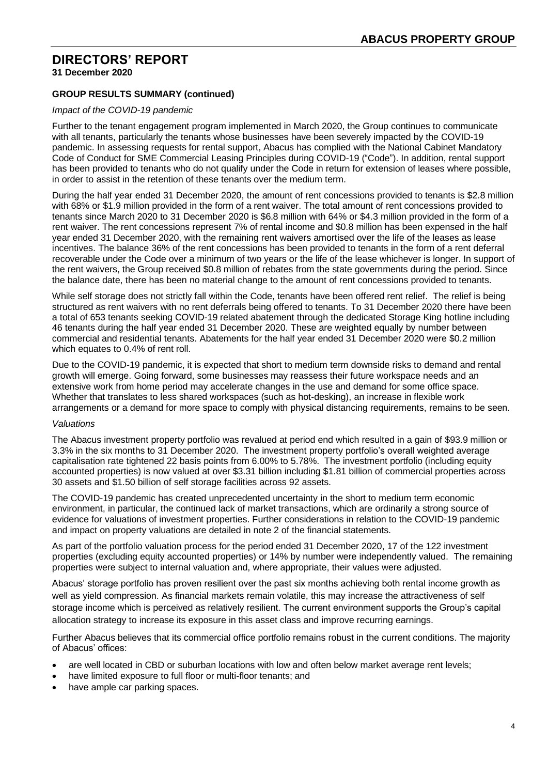**31 December 2020**

# **GROUP RESULTS SUMMARY (continued)**

#### *Impact of the COVID-19 pandemic*

Further to the tenant engagement program implemented in March 2020, the Group continues to communicate with all tenants, particularly the tenants whose businesses have been severely impacted by the COVID-19 pandemic. In assessing requests for rental support, Abacus has complied with the National Cabinet Mandatory Code of Conduct for SME Commercial Leasing Principles during COVID-19 ("Code"). In addition, rental support has been provided to tenants who do not qualify under the Code in return for extension of leases where possible. in order to assist in the retention of these tenants over the medium term.

During the half year ended 31 December 2020, the amount of rent concessions provided to tenants is \$2.8 million with 68% or \$1.9 million provided in the form of a rent waiver. The total amount of rent concessions provided to tenants since March 2020 to 31 December 2020 is \$6.8 million with 64% or \$4.3 million provided in the form of a rent waiver. The rent concessions represent 7% of rental income and \$0.8 million has been expensed in the half year ended 31 December 2020, with the remaining rent waivers amortised over the life of the leases as lease incentives. The balance 36% of the rent concessions has been provided to tenants in the form of a rent deferral recoverable under the Code over a minimum of two years or the life of the lease whichever is longer. In support of the rent waivers, the Group received \$0.8 million of rebates from the state governments during the period. Since the balance date, there has been no material change to the amount of rent concessions provided to tenants.

While self storage does not strictly fall within the Code, tenants have been offered rent relief. The relief is being structured as rent waivers with no rent deferrals being offered to tenants. To 31 December 2020 there have been a total of 653 tenants seeking COVID-19 related abatement through the dedicated Storage King hotline including 46 tenants during the half year ended 31 December 2020. These are weighted equally by number between commercial and residential tenants. Abatements for the half year ended 31 December 2020 were \$0.2 million which equates to 0.4% of rent roll.

Due to the COVID-19 pandemic, it is expected that short to medium term downside risks to demand and rental growth will emerge. Going forward, some businesses may reassess their future workspace needs and an extensive work from home period may accelerate changes in the use and demand for some office space. Whether that translates to less shared workspaces (such as hot-desking), an increase in flexible work arrangements or a demand for more space to comply with physical distancing requirements, remains to be seen.

#### *Valuations*

The Abacus investment property portfolio was revalued at period end which resulted in a gain of \$93.9 million or 3.3% in the six months to 31 December 2020. The investment property portfolio's overall weighted average capitalisation rate tightened 22 basis points from 6.00% to 5.78%. The investment portfolio (including equity accounted properties) is now valued at over \$3.31 billion including \$1.81 billion of commercial properties across 30 assets and \$1.50 billion of self storage facilities across 92 assets.

The COVID-19 pandemic has created unprecedented uncertainty in the short to medium term economic environment, in particular, the continued lack of market transactions, which are ordinarily a strong source of evidence for valuations of investment properties. Further considerations in relation to the COVID-19 pandemic and impact on property valuations are detailed in note 2 of the financial statements.

As part of the portfolio valuation process for the period ended 31 December 2020, 17 of the 122 investment properties (excluding equity accounted properties) or 14% by number were independently valued. The remaining properties were subject to internal valuation and, where appropriate, their values were adjusted.

Abacus' storage portfolio has proven resilient over the past six months achieving both rental income growth as well as yield compression. As financial markets remain volatile, this may increase the attractiveness of self storage income which is perceived as relatively resilient. The current environment supports the Group's capital allocation strategy to increase its exposure in this asset class and improve recurring earnings.

Further Abacus believes that its commercial office portfolio remains robust in the current conditions. The majority of Abacus' offices:

- are well located in CBD or suburban locations with low and often below market average rent levels;
- have limited exposure to full floor or multi-floor tenants; and
- have ample car parking spaces.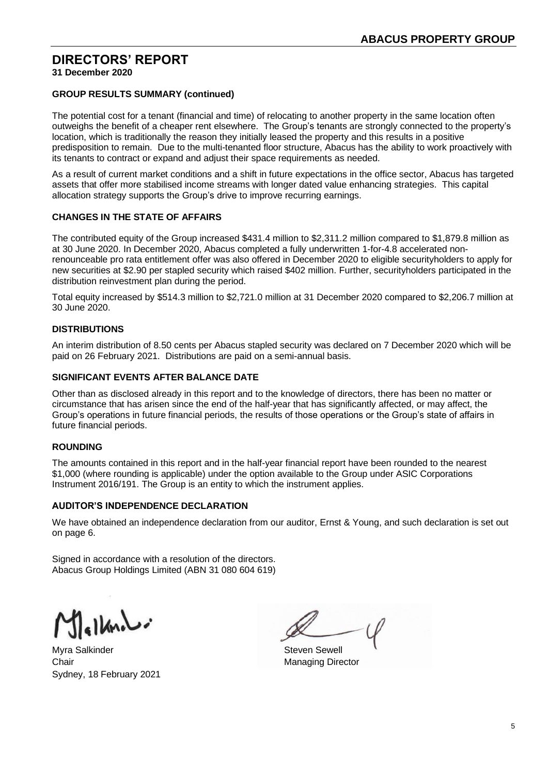**31 December 2020**

# **GROUP RESULTS SUMMARY (continued)**

The potential cost for a tenant (financial and time) of relocating to another property in the same location often outweighs the benefit of a cheaper rent elsewhere. The Group's tenants are strongly connected to the property's location, which is traditionally the reason they initially leased the property and this results in a positive predisposition to remain. Due to the multi-tenanted floor structure, Abacus has the ability to work proactively with its tenants to contract or expand and adjust their space requirements as needed.

As a result of current market conditions and a shift in future expectations in the office sector, Abacus has targeted assets that offer more stabilised income streams with longer dated value enhancing strategies. This capital allocation strategy supports the Group's drive to improve recurring earnings.

# **CHANGES IN THE STATE OF AFFAIRS**

The contributed equity of the Group increased \$431.4 million to \$2,311.2 million compared to \$1,879.8 million as at 30 June 2020. In December 2020, Abacus completed a fully underwritten 1-for-4.8 accelerated nonrenounceable pro rata entitlement offer was also offered in December 2020 to eligible securityholders to apply for new securities at \$2.90 per stapled security which raised \$402 million. Further, securityholders participated in the distribution reinvestment plan during the period.

Total equity increased by \$514.3 million to \$2,721.0 million at 31 December 2020 compared to \$2,206.7 million at 30 June 2020.

# **DISTRIBUTIONS**

An interim distribution of 8.50 cents per Abacus stapled security was declared on 7 December 2020 which will be paid on 26 February 2021. Distributions are paid on a semi-annual basis.

# **SIGNIFICANT EVENTS AFTER BALANCE DATE**

Other than as disclosed already in this report and to the knowledge of directors, there has been no matter or circumstance that has arisen since the end of the half-year that has significantly affected, or may affect, the Group's operations in future financial periods, the results of those operations or the Group's state of affairs in future financial periods.

# **ROUNDING**

The amounts contained in this report and in the half-year financial report have been rounded to the nearest \$1,000 (where rounding is applicable) under the option available to the Group under ASIC Corporations Instrument 2016/191. The Group is an entity to which the instrument applies.

# **AUDITOR'S INDEPENDENCE DECLARATION**

We have obtained an independence declaration from our auditor. Ernst & Young, and such declaration is set out on page 6.

Signed in accordance with a resolution of the directors. Abacus Group Holdings Limited (ABN 31 080 604 619)

 $\epsilon$ lbio

Myra Salkinder Steven Sewell Chair **Chair** Managing Director Sydney, 18 February 2021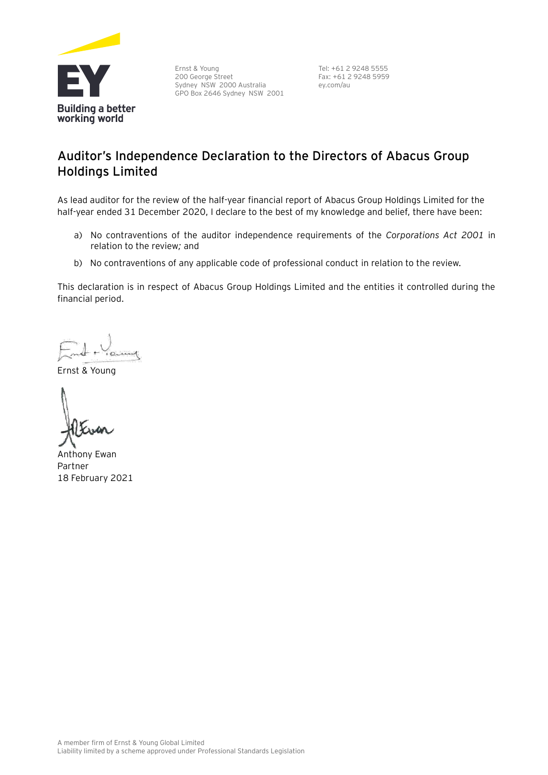

Ernst & Young 200 George Street Sydney NSW 2000 Australia GPO Box 2646 Sydney NSW 2001 Tel: +61 2 9248 5555 Fax: +61 2 9248 5959 ey.com/au

# **Auditor's Independence Declaration to the Directors of Abacus Group Holdings Limited**

As lead auditor for the review of the half-year financial report of Abacus Group Holdings Limited for the half-year ended 31 December 2020, I declare to the best of my knowledge and belief, there have been:

- a) No contraventions of the auditor independence requirements of the *Corporations Act 2001* in relation to the review*;* and
- b) No contraventions of any applicable code of professional conduct in relation to the review.

This declaration is in respect of Abacus Group Holdings Limited and the entities it controlled during the financial period.

Ernst & Young

Anthony Ewan Partner 18 February 2021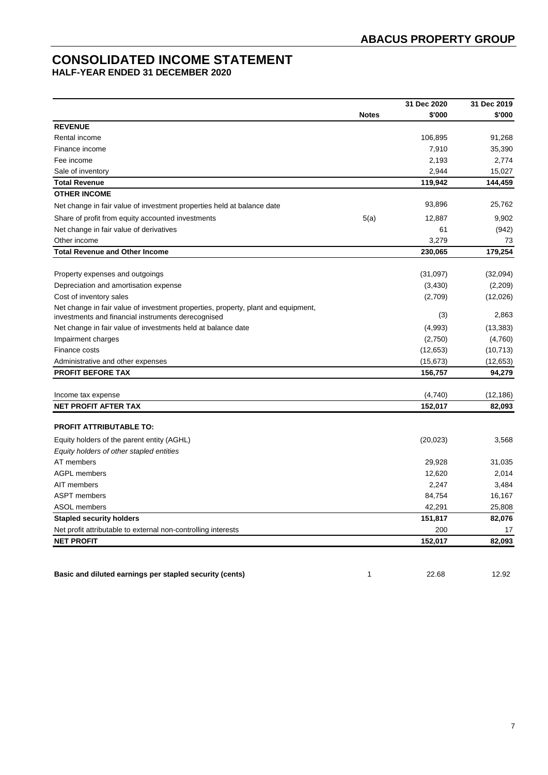# **CONSOLIDATED INCOME STATEMENT**

**HALF-YEAR ENDED 31 DECEMBER 2020**

|                                                                                   |              | 31 Dec 2020 | 31 Dec 2019 |
|-----------------------------------------------------------------------------------|--------------|-------------|-------------|
|                                                                                   | <b>Notes</b> | \$'000      | \$'000      |
| <b>REVENUE</b>                                                                    |              |             |             |
| Rental income                                                                     |              | 106,895     | 91,268      |
| Finance income                                                                    |              | 7,910       | 35,390      |
| Fee income                                                                        |              | 2,193       | 2,774       |
| Sale of inventory                                                                 |              | 2,944       | 15,027      |
| <b>Total Revenue</b>                                                              |              | 119,942     | 144,459     |
| <b>OTHER INCOME</b>                                                               |              |             |             |
| Net change in fair value of investment properties held at balance date            |              | 93,896      | 25,762      |
| Share of profit from equity accounted investments                                 | 5(a)         | 12,887      | 9,902       |
| Net change in fair value of derivatives                                           |              | 61          | (942)       |
| Other income                                                                      |              | 3,279       | 73          |
| <b>Total Revenue and Other Income</b>                                             |              | 230,065     | 179,254     |
|                                                                                   |              |             |             |
| Property expenses and outgoings                                                   |              | (31,097)    | (32,094)    |
| Depreciation and amortisation expense                                             |              | (3,430)     | (2,209)     |
| Cost of inventory sales                                                           |              | (2,709)     | (12,026)    |
| Net change in fair value of investment properties, property, plant and equipment, |              |             | 2,863       |
| investments and financial instruments derecognised                                |              | (3)         |             |
| Net change in fair value of investments held at balance date                      |              | (4,993)     | (13, 383)   |
| Impairment charges                                                                |              | (2,750)     | (4,760)     |
| Finance costs                                                                     |              | (12, 653)   | (10, 713)   |
| Administrative and other expenses                                                 |              | (15, 673)   | (12,653)    |
| <b>PROFIT BEFORE TAX</b>                                                          |              | 156,757     | 94,279      |
| Income tax expense                                                                |              | (4,740)     | (12, 186)   |
| <b>NET PROFIT AFTER TAX</b>                                                       |              | 152,017     | 82,093      |
|                                                                                   |              |             |             |
| <b>PROFIT ATTRIBUTABLE TO:</b>                                                    |              |             |             |
| Equity holders of the parent entity (AGHL)                                        |              | (20, 023)   | 3,568       |
| Equity holders of other stapled entities                                          |              |             |             |
| AT members                                                                        |              | 29,928      | 31,035      |
| <b>AGPL members</b>                                                               |              | 12,620      | 2,014       |
| AIT members                                                                       |              | 2,247       | 3,484       |
| <b>ASPT</b> members                                                               |              | 84,754      | 16,167      |
| <b>ASOL members</b>                                                               |              | 42,291      | 25,808      |
| <b>Stapled security holders</b>                                                   |              | 151,817     | 82,076      |
| Net profit attributable to external non-controlling interests                     |              | 200         | 17          |
| <b>NET PROFIT</b>                                                                 |              | 152,017     | 82,093      |

**Basic and diluted earnings per stapled security (cents)** 1 1 22.68 12.92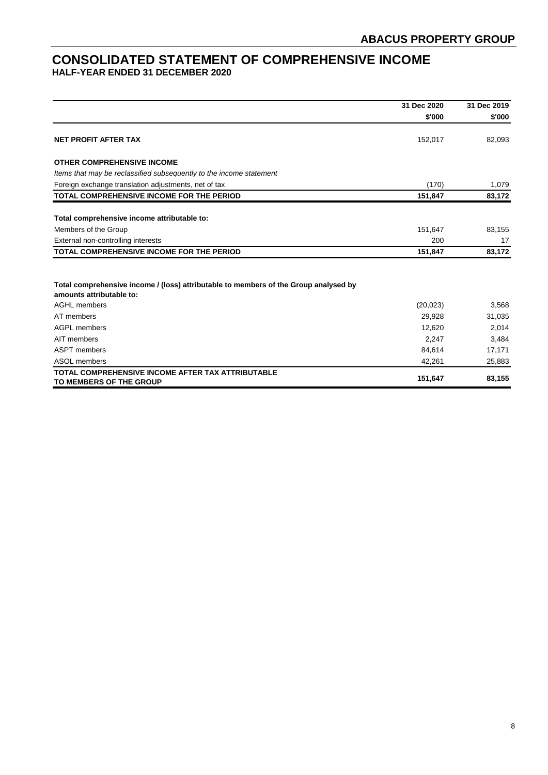# **CONSOLIDATED STATEMENT OF COMPREHENSIVE INCOME HALF-YEAR ENDED 31 DECEMBER 2020**

|                                                                                                                  | 31 Dec 2020 | 31 Dec 2019<br>\$'000 |
|------------------------------------------------------------------------------------------------------------------|-------------|-----------------------|
|                                                                                                                  | \$'000      |                       |
| <b>NET PROFIT AFTER TAX</b>                                                                                      | 152,017     | 82,093                |
| <b>OTHER COMPREHENSIVE INCOME</b>                                                                                |             |                       |
| Items that may be reclassified subsequently to the income statement                                              |             |                       |
| Foreign exchange translation adjustments, net of tax                                                             | (170)       | 1,079                 |
| TOTAL COMPREHENSIVE INCOME FOR THE PERIOD                                                                        | 151,847     | 83,172                |
| Total comprehensive income attributable to:                                                                      |             |                       |
| Members of the Group                                                                                             | 151,647     | 83,155                |
| External non-controlling interests                                                                               | 200         | 17                    |
| TOTAL COMPREHENSIVE INCOME FOR THE PERIOD                                                                        | 151,847     | 83,172                |
| Total comprehensive income / (loss) attributable to members of the Group analysed by<br>amounts attributable to: |             |                       |
| <b>AGHL members</b>                                                                                              | (20, 023)   | 3,568                 |
| AT members                                                                                                       | 29,928      | 31,035                |
| AGPL members                                                                                                     | 12,620      | 2,014                 |
| AIT members                                                                                                      | 2,247       | 3,484                 |
| <b>ASPT</b> members                                                                                              | 84,614      | 17,171                |
| ASOL members                                                                                                     | 42,261      | 25,883                |
| TOTAL COMPREHENSIVE INCOME AFTER TAX ATTRIBUTABLE<br>TO MEMBERS OF THE GROUP                                     | 151,647     | 83,155                |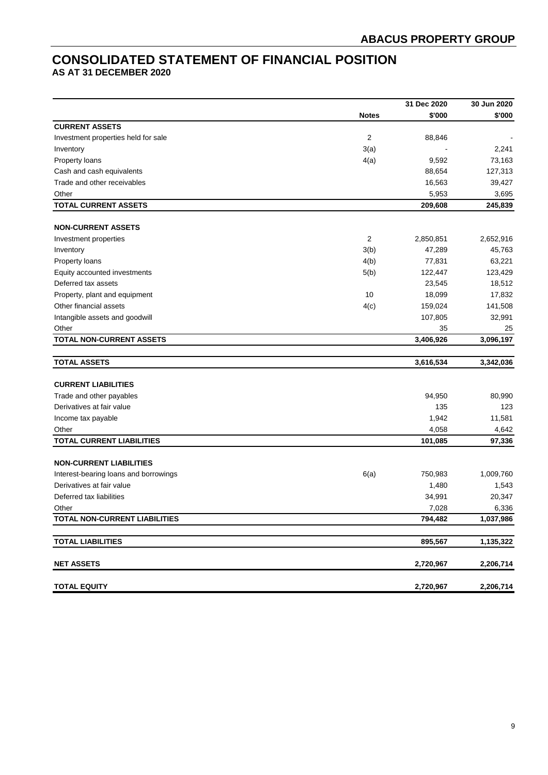# **CONSOLIDATED STATEMENT OF FINANCIAL POSITION**

**AS AT 31 DECEMBER 2020**

|                                       |                | 31 Dec 2020 | 30 Jun 2020 |
|---------------------------------------|----------------|-------------|-------------|
|                                       | <b>Notes</b>   | \$'000      | \$'000      |
| <b>CURRENT ASSETS</b>                 |                |             |             |
| Investment properties held for sale   | $\overline{2}$ | 88,846      |             |
| Inventory                             | 3(a)           |             | 2,241       |
| Property loans                        | 4(a)           | 9,592       | 73,163      |
| Cash and cash equivalents             |                | 88,654      | 127,313     |
| Trade and other receivables           |                | 16,563      | 39,427      |
| Other                                 |                | 5,953       | 3,695       |
| <b>TOTAL CURRENT ASSETS</b>           |                | 209,608     | 245,839     |
|                                       |                |             |             |
| <b>NON-CURRENT ASSETS</b>             |                |             |             |
| Investment properties                 | $\overline{2}$ | 2,850,851   | 2,652,916   |
| Inventory                             | 3(b)           | 47,289      | 45,763      |
| Property loans                        | 4(b)           | 77,831      | 63,221      |
| Equity accounted investments          | 5(b)           | 122,447     | 123,429     |
| Deferred tax assets                   |                | 23,545      | 18,512      |
| Property, plant and equipment         | 10             | 18,099      | 17,832      |
| Other financial assets                | 4(c)           | 159,024     | 141,508     |
| Intangible assets and goodwill        |                | 107,805     | 32,991      |
| Other                                 |                | 35          | 25          |
| <b>TOTAL NON-CURRENT ASSETS</b>       |                | 3,406,926   | 3,096,197   |
|                                       |                |             |             |
| <b>TOTAL ASSETS</b>                   |                | 3,616,534   | 3,342,036   |
| <b>CURRENT LIABILITIES</b>            |                |             |             |
| Trade and other payables              |                | 94,950      | 80,990      |
| Derivatives at fair value             |                | 135         | 123         |
| Income tax payable                    |                | 1,942       | 11,581      |
| Other                                 |                | 4,058       | 4,642       |
| <b>TOTAL CURRENT LIABILITIES</b>      |                | 101,085     | 97,336      |
|                                       |                |             |             |
| <b>NON-CURRENT LIABILITIES</b>        |                |             |             |
| Interest-bearing loans and borrowings | 6(a)           | 750,983     | 1,009,760   |
| Derivatives at fair value             |                | 1,480       | 1,543       |
| Deferred tax liabilities              |                | 34,991      | 20,347      |
| Other                                 |                | 7,028       | 6,336       |
| <b>TOTAL NON-CURRENT LIABILITIES</b>  |                | 794,482     | 1,037,986   |
|                                       |                |             |             |
| <b>TOTAL LIABILITIES</b>              |                | 895,567     | 1,135,322   |
| <b>NET ASSETS</b>                     |                | 2,720,967   | 2,206,714   |
|                                       |                |             |             |
| <b>TOTAL EQUITY</b>                   |                | 2,720,967   | 2,206,714   |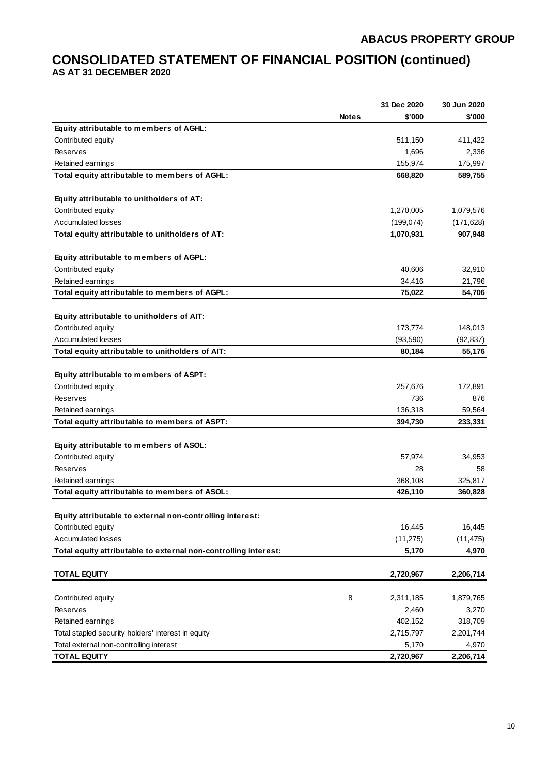# **CONSOLIDATED STATEMENT OF FINANCIAL POSITION (continued) AS AT 31 DECEMBER 2020**

|                                                                 |              | 31 Dec 2020 | 30 Jun 2020 |
|-----------------------------------------------------------------|--------------|-------------|-------------|
|                                                                 | <b>Notes</b> | \$'000      | \$'000      |
| Equity attributable to members of AGHL:                         |              |             |             |
| Contributed equity                                              |              | 511,150     | 411,422     |
| <b>Reserves</b>                                                 |              | 1,696       | 2,336       |
| Retained earnings                                               |              | 155,974     | 175,997     |
| Total equity attributable to members of AGHL:                   |              | 668,820     | 589,755     |
|                                                                 |              |             |             |
| Equity attributable to unitholders of AT:                       |              |             |             |
| Contributed equity                                              |              | 1,270,005   | 1,079,576   |
| <b>Accumulated losses</b>                                       |              | (199, 074)  | (171, 628)  |
| Total equity attributable to unitholders of AT:                 |              | 1,070,931   | 907,948     |
|                                                                 |              |             |             |
| Equity attributable to members of AGPL:                         |              |             |             |
| Contributed equity                                              |              | 40,606      | 32,910      |
| Retained earnings                                               |              | 34,416      | 21,796      |
| Total equity attributable to members of AGPL:                   |              | 75,022      | 54,706      |
|                                                                 |              |             |             |
| Equity attributable to unitholders of AIT:                      |              |             |             |
| Contributed equity                                              |              | 173,774     | 148,013     |
| <b>Accumulated losses</b>                                       |              | (93, 590)   | (92, 837)   |
| Total equity attributable to unitholders of AIT:                |              | 80,184      | 55,176      |
|                                                                 |              |             |             |
| Equity attributable to members of ASPT:                         |              |             |             |
| Contributed equity                                              |              | 257,676     | 172,891     |
| Reserves                                                        |              | 736         | 876         |
| Retained earnings                                               |              | 136,318     | 59,564      |
| Total equity attributable to members of ASPT:                   |              | 394,730     | 233,331     |
|                                                                 |              |             |             |
| Equity attributable to members of ASOL:                         |              |             |             |
| Contributed equity                                              |              | 57,974      | 34,953      |
| Reserves                                                        |              | 28          | 58          |
| Retained earnings                                               |              | 368,108     | 325,817     |
| Total equity attributable to members of ASOL:                   |              | 426,110     | 360,828     |
|                                                                 |              |             |             |
| Equity attributable to external non-controlling interest:       |              |             |             |
| Contributed equity                                              |              | 16,445      | 16,445      |
| <b>Accumulated losses</b>                                       |              | (11, 275)   | (11, 475)   |
| Total equity attributable to external non-controlling interest: |              | 5,170       | 4,970       |
|                                                                 |              |             |             |
| <b>TOTAL EQUITY</b>                                             |              | 2,720,967   | 2,206,714   |
|                                                                 |              |             |             |
| Contributed equity                                              | 8            | 2,311,185   | 1,879,765   |
| Reserves                                                        |              | 2,460       | 3,270       |
| Retained earnings                                               |              | 402,152     | 318,709     |
| Total stapled security holders' interest in equity              |              | 2,715,797   | 2,201,744   |
| Total external non-controlling interest                         |              | 5,170       | 4,970       |
| <b>TOTAL EQUITY</b>                                             |              | 2,720,967   | 2,206,714   |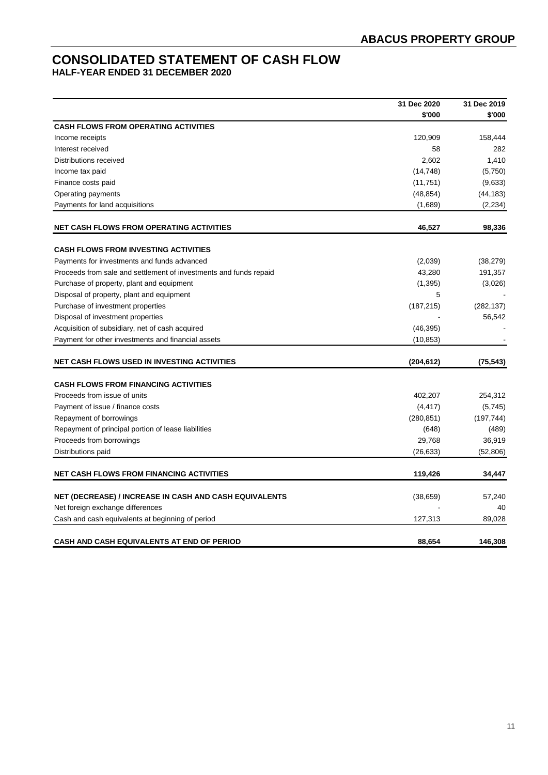# **CONSOLIDATED STATEMENT OF CASH FLOW**

**HALF-YEAR ENDED 31 DECEMBER 2020**

|                                                                   | 31 Dec 2020 | 31 Dec 2019 |
|-------------------------------------------------------------------|-------------|-------------|
|                                                                   | \$'000      | \$'000      |
| <b>CASH FLOWS FROM OPERATING ACTIVITIES</b>                       |             |             |
| Income receipts                                                   | 120,909     | 158,444     |
| Interest received                                                 | 58          | 282         |
| Distributions received                                            | 2,602       | 1,410       |
| Income tax paid                                                   | (14, 748)   | (5,750)     |
| Finance costs paid                                                | (11,751)    | (9,633)     |
| Operating payments                                                | (48, 854)   | (44, 183)   |
| Payments for land acquisitions                                    | (1,689)     | (2, 234)    |
| <b>NET CASH FLOWS FROM OPERATING ACTIVITIES</b>                   | 46,527      | 98,336      |
| <b>CASH FLOWS FROM INVESTING ACTIVITIES</b>                       |             |             |
| Payments for investments and funds advanced                       | (2,039)     | (38, 279)   |
| Proceeds from sale and settlement of investments and funds repaid | 43,280      | 191,357     |
| Purchase of property, plant and equipment                         | (1,395)     | (3,026)     |
| Disposal of property, plant and equipment                         | 5           |             |
| Purchase of investment properties                                 | (187, 215)  | (282, 137)  |
| Disposal of investment properties                                 |             | 56,542      |
| Acquisition of subsidiary, net of cash acquired                   | (46, 395)   |             |
| Payment for other investments and financial assets                | (10, 853)   |             |
| <b>NET CASH FLOWS USED IN INVESTING ACTIVITIES</b>                | (204, 612)  | (75, 543)   |
| <b>CASH FLOWS FROM FINANCING ACTIVITIES</b>                       |             |             |
| Proceeds from issue of units                                      | 402,207     | 254,312     |
| Payment of issue / finance costs                                  | (4, 417)    | (5,745)     |
| Repayment of borrowings                                           | (280, 851)  | (197, 744)  |
| Repayment of principal portion of lease liabilities               | (648)       | (489)       |
| Proceeds from borrowings                                          | 29,768      | 36,919      |
| Distributions paid                                                | (26, 633)   | (52, 806)   |
| <b>NET CASH FLOWS FROM FINANCING ACTIVITIES</b>                   | 119,426     | 34,447      |
|                                                                   |             |             |
| <b>NET (DECREASE) / INCREASE IN CASH AND CASH EQUIVALENTS</b>     | (38, 659)   | 57,240      |
| Net foreign exchange differences                                  |             | 40          |
| Cash and cash equivalents at beginning of period                  | 127,313     | 89,028      |
| CASH AND CASH EQUIVALENTS AT END OF PERIOD                        | 88,654      | 146,308     |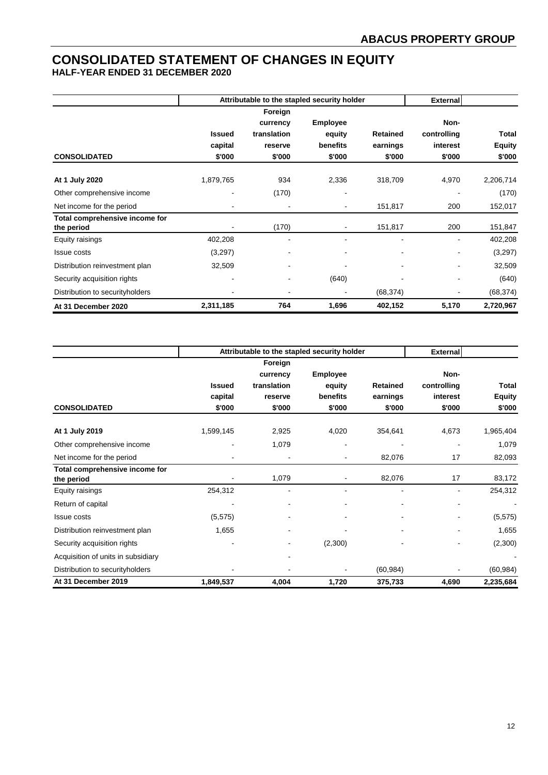# **CONSOLIDATED STATEMENT OF CHANGES IN EQUITY**

**HALF-YEAR ENDED 31 DECEMBER 2020**

|                                              |                                    | Attributable to the stapled security holder             |                                                 | <b>External</b>                       |                                           |                                  |
|----------------------------------------------|------------------------------------|---------------------------------------------------------|-------------------------------------------------|---------------------------------------|-------------------------------------------|----------------------------------|
| <b>CONSOLIDATED</b>                          | <b>Issued</b><br>capital<br>\$'000 | Foreign<br>currency<br>translation<br>reserve<br>\$'000 | <b>Employee</b><br>equity<br>benefits<br>\$'000 | <b>Retained</b><br>earnings<br>\$'000 | Non-<br>controlling<br>interest<br>\$'000 | Total<br><b>Equity</b><br>\$'000 |
| At 1 July 2020                               | 1,879,765                          | 934                                                     | 2,336                                           | 318,709                               | 4,970                                     | 2,206,714                        |
| Other comprehensive income                   | $\blacksquare$                     | (170)                                                   | ۰                                               |                                       |                                           | (170)                            |
| Net income for the period                    |                                    |                                                         | $\qquad \qquad \blacksquare$                    | 151,817                               | 200                                       | 152,017                          |
| Total comprehensive income for<br>the period |                                    | (170)                                                   |                                                 | 151,817                               | 200                                       | 151,847                          |
| Equity raisings                              | 402,208                            |                                                         |                                                 |                                       |                                           | 402,208                          |
| <b>Issue costs</b>                           | (3,297)                            | -                                                       | ۰                                               |                                       |                                           | (3,297)                          |
| Distribution reinvestment plan               | 32,509                             |                                                         |                                                 |                                       |                                           | 32,509                           |
| Security acquisition rights                  | $\overline{\phantom{a}}$           |                                                         | (640)                                           |                                       |                                           | (640)                            |
| Distribution to security holders             |                                    |                                                         |                                                 | (68, 374)                             |                                           | (68, 374)                        |
| At 31 December 2020                          | 2,311,185                          | 764                                                     | 1,696                                           | 402,152                               | 5,170                                     | 2,720,967                        |

|                                              | Attributable to the stapled security holder |                     |                 |                 | <b>External</b> |               |
|----------------------------------------------|---------------------------------------------|---------------------|-----------------|-----------------|-----------------|---------------|
|                                              |                                             | Foreign<br>currency | <b>Employee</b> |                 | Non-            |               |
|                                              | <b>Issued</b>                               | translation         | equity          | <b>Retained</b> | controlling     | <b>Total</b>  |
|                                              | capital                                     | reserve             | benefits        | earnings        | interest        | <b>Equity</b> |
| <b>CONSOLIDATED</b>                          | \$'000                                      | \$'000              | \$'000          | \$'000          | \$'000          | \$'000        |
| At 1 July 2019                               | 1,599,145                                   | 2,925               | 4,020           | 354,641         | 4,673           | 1,965,404     |
| Other comprehensive income                   |                                             | 1,079               | ۰               |                 |                 | 1,079         |
| Net income for the period                    |                                             |                     |                 | 82,076          | 17              | 82,093        |
| Total comprehensive income for<br>the period |                                             | 1,079               |                 | 82,076          | 17              | 83,172        |
| Equity raisings                              | 254,312                                     | ۰                   |                 |                 | $\blacksquare$  | 254,312       |
| Return of capital                            |                                             |                     |                 |                 |                 |               |
| <b>Issue costs</b>                           | (5, 575)                                    |                     |                 |                 |                 | (5, 575)      |
| Distribution reinvestment plan               | 1,655                                       |                     |                 |                 |                 | 1,655         |
| Security acquisition rights                  |                                             |                     | (2,300)         |                 |                 | (2,300)       |
| Acquisition of units in subsidiary           |                                             |                     |                 |                 |                 |               |
| Distribution to security holders             |                                             |                     |                 | (60, 984)       |                 | (60, 984)     |
| At 31 December 2019                          | 1,849,537                                   | 4,004               | 1,720           | 375,733         | 4,690           | 2,235,684     |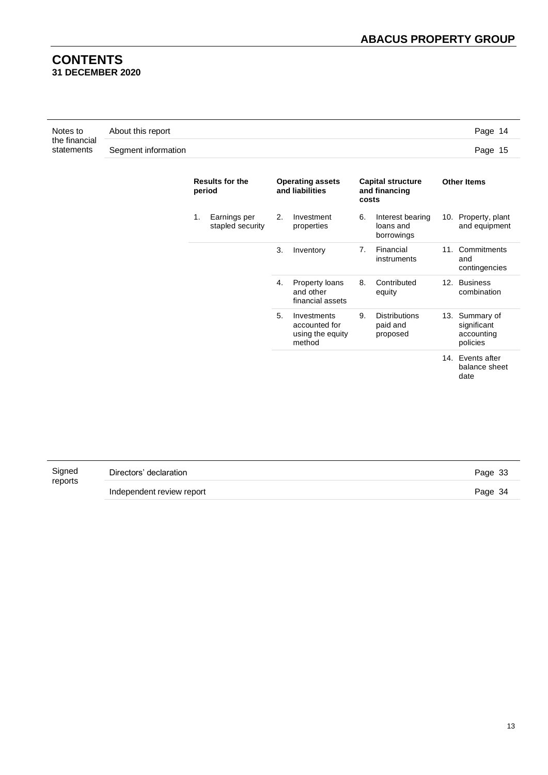# **CONTENTS 31 DECEMBER 2020**

| Notes to                    | About this report   | Page 14 |
|-----------------------------|---------------------|---------|
| the financial<br>statements | Segment information | Page 15 |

|    | <b>Results for the</b><br>period |    | <b>Operating assets</b><br>and liabilities                 | <b>Capital structure</b><br>and financing<br>costs |                                              | <b>Other Items</b>                                      |
|----|----------------------------------|----|------------------------------------------------------------|----------------------------------------------------|----------------------------------------------|---------------------------------------------------------|
| 1. | Earnings per<br>stapled security | 2. | Investment<br>properties                                   | 6.                                                 | Interest bearing<br>loans and<br>borrowings  | 10. Property, plant<br>and equipment                    |
|    |                                  | 3. | Inventory                                                  | 7.                                                 | Financial<br>instruments                     | 11. Commitments<br>and<br>contingencies                 |
|    |                                  | 4. | Property loans<br>and other<br>financial assets            | 8.                                                 | Contributed<br>equity                        | 12. Business<br>combination                             |
|    |                                  | 5. | Investments<br>accounted for<br>using the equity<br>method | 9.                                                 | <b>Distributions</b><br>paid and<br>proposed | 13. Summary of<br>significant<br>accounting<br>policies |
|    |                                  |    |                                                            |                                                    |                                              | 14. Events after<br>balance sheet<br>date               |

| Signed  | Directors' declaration    |         |
|---------|---------------------------|---------|
| reports | Independent review report | Page 34 |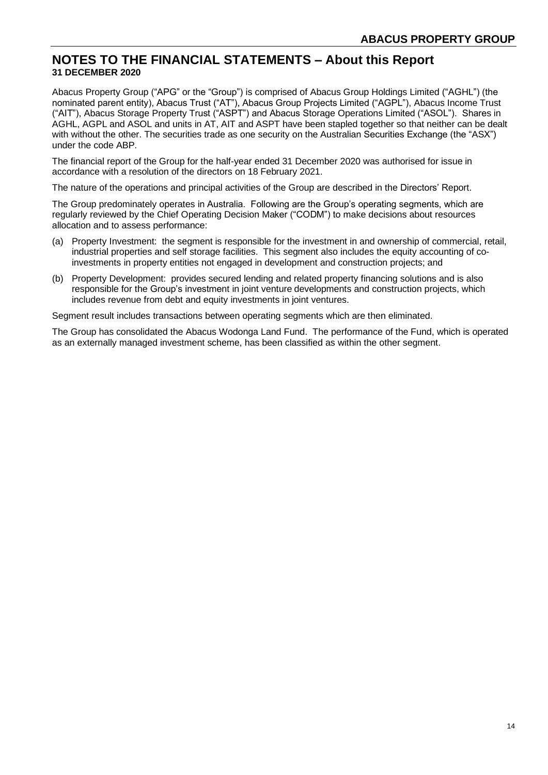# **NOTES TO THE FINANCIAL STATEMENTS – About this Report 31 DECEMBER 2020**

Abacus Property Group ("APG" or the "Group") is comprised of Abacus Group Holdings Limited ("AGHL") (the nominated parent entity), Abacus Trust ("AT"), Abacus Group Projects Limited ("AGPL"), Abacus Income Trust ("AIT"), Abacus Storage Property Trust ("ASPT") and Abacus Storage Operations Limited ("ASOL"). Shares in AGHL, AGPL and ASOL and units in AT, AIT and ASPT have been stapled together so that neither can be dealt with without the other. The securities trade as one security on the Australian Securities Exchange (the "ASX") under the code ABP.

The financial report of the Group for the half-year ended 31 December 2020 was authorised for issue in accordance with a resolution of the directors on 18 February 2021.

The nature of the operations and principal activities of the Group are described in the Directors' Report.

The Group predominately operates in Australia. Following are the Group's operating segments, which are regularly reviewed by the Chief Operating Decision Maker ("CODM") to make decisions about resources allocation and to assess performance:

- (a) Property Investment: the segment is responsible for the investment in and ownership of commercial, retail, industrial properties and self storage facilities. This segment also includes the equity accounting of coinvestments in property entities not engaged in development and construction projects; and
- (b) Property Development: provides secured lending and related property financing solutions and is also responsible for the Group's investment in joint venture developments and construction projects, which includes revenue from debt and equity investments in joint ventures.

Segment result includes transactions between operating segments which are then eliminated.

The Group has consolidated the Abacus Wodonga Land Fund. The performance of the Fund, which is operated as an externally managed investment scheme, has been classified as within the other segment.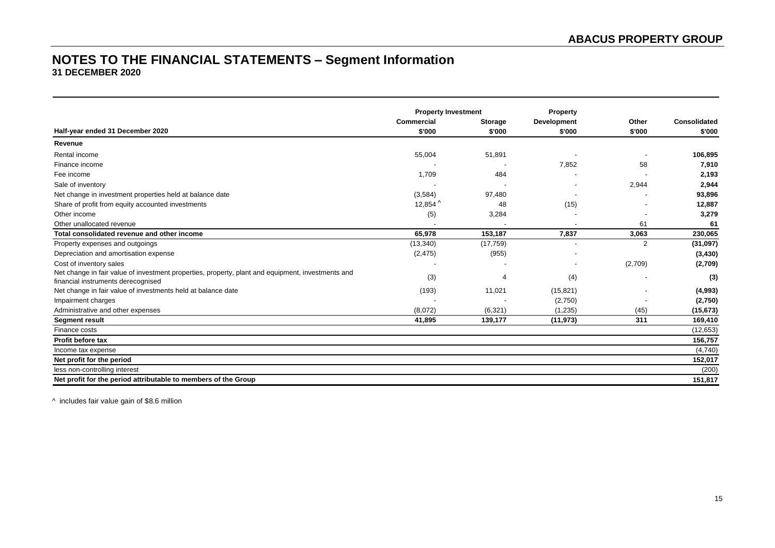# **NOTES TO THE FINANCIAL STATEMENTS – Segment Information 31 DECEMBER 2020**

|                                                                                                                                         | <b>Property Investment</b> |                | Property                 |                          |                     |
|-----------------------------------------------------------------------------------------------------------------------------------------|----------------------------|----------------|--------------------------|--------------------------|---------------------|
|                                                                                                                                         | <b>Commercial</b>          | <b>Storage</b> | <b>Development</b>       | Other                    | <b>Consolidated</b> |
| Half-year ended 31 December 2020                                                                                                        | \$'000                     | \$'000         | \$'000                   | \$'000                   | \$'000              |
| Revenue                                                                                                                                 |                            |                |                          |                          |                     |
| Rental income                                                                                                                           | 55,004                     | 51,891         |                          | $\overline{\phantom{a}}$ | 106,895             |
| Finance income                                                                                                                          |                            |                | 7,852                    | 58                       | 7,910               |
| Fee income                                                                                                                              | 1,709                      | 484            |                          |                          | 2,193               |
| Sale of inventory                                                                                                                       |                            |                |                          | 2,944                    | 2,944               |
| Net change in investment properties held at balance date                                                                                | (3,584)                    | 97,480         |                          |                          | 93,896              |
| Share of profit from equity accounted investments                                                                                       | 12,854 $^{\wedge}$         | 48             | (15)                     |                          | 12,887              |
| Other income                                                                                                                            | (5)                        | 3,284          |                          |                          | 3,279               |
| Other unallocated revenue                                                                                                               |                            |                |                          | 61                       | 61                  |
| Total consolidated revenue and other income                                                                                             | 65,978                     | 153,187        | 7,837                    | 3,063                    | 230,065             |
| Property expenses and outgoings                                                                                                         | (13, 340)                  | (17, 759)      |                          | $\overline{2}$           | (31,097)            |
| Depreciation and amortisation expense                                                                                                   | (2, 475)                   | (955)          | $\overline{\phantom{a}}$ |                          | (3, 430)            |
| Cost of inventory sales                                                                                                                 |                            |                |                          | (2,709)                  | (2,709)             |
| Net change in fair value of investment properties, property, plant and equipment, investments and<br>financial instruments derecognised | (3)                        | 4              | (4)                      |                          | (3)                 |
| Net change in fair value of investments held at balance date                                                                            | (193)                      | 11,021         | (15, 821)                | ٠                        | (4,993)             |
| Impairment charges                                                                                                                      |                            |                | (2,750)                  |                          | (2,750)             |
| Administrative and other expenses                                                                                                       | (8,072)                    | (6, 321)       | (1, 235)                 | (45)                     | (15, 673)           |
| <b>Segment result</b>                                                                                                                   | 41,895                     | 139,177        | (11, 973)                | 311                      | 169,410             |
| Finance costs                                                                                                                           |                            |                |                          |                          | (12, 653)           |
| Profit before tax                                                                                                                       |                            |                |                          |                          | 156,757             |
| Income tax expense                                                                                                                      |                            |                |                          |                          | (4,740)             |
| Net profit for the period                                                                                                               |                            |                |                          |                          | 152,017             |
| less non-controlling interest                                                                                                           |                            |                |                          |                          | (200)               |
| Net profit for the period attributable to members of the Group                                                                          |                            |                |                          |                          | 151,817             |

^ includes fair value gain of \$8.6 million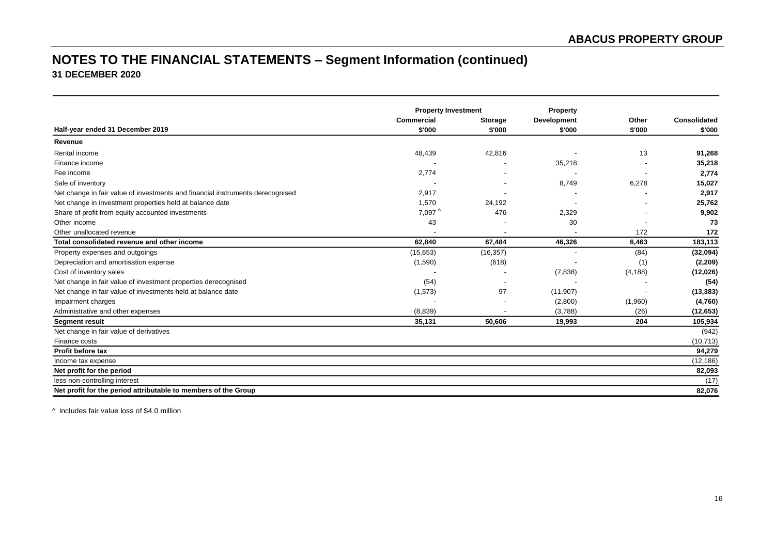# **NOTES TO THE FINANCIAL STATEMENTS – Segment Information (continued) 31 DECEMBER 2020**

|                                                                                | <b>Property Investment</b> |                | <b>Property</b>          |          |              |
|--------------------------------------------------------------------------------|----------------------------|----------------|--------------------------|----------|--------------|
|                                                                                | Commercial                 | <b>Storage</b> | <b>Development</b>       | Other    | Consolidated |
| Half-year ended 31 December 2019                                               | \$'000                     | \$'000         | \$'000                   | \$'000   | \$'000       |
| Revenue                                                                        |                            |                |                          |          |              |
| Rental income                                                                  | 48,439                     | 42,816         |                          | 13       | 91,268       |
| Finance income                                                                 |                            |                | 35,218                   |          | 35,218       |
| Fee income                                                                     | 2,774                      |                |                          |          | 2,774        |
| Sale of inventory                                                              |                            |                | 8,749                    | 6,278    | 15,027       |
| Net change in fair value of investments and financial instruments derecognised | 2,917                      |                |                          |          | 2,917        |
| Net change in investment properties held at balance date                       | 1,570                      | 24,192         |                          |          | 25,762       |
| Share of profit from equity accounted investments                              | $7,097^{\wedge}$           | 476            | 2,329                    |          | 9,902        |
| Other income                                                                   | 43                         |                | 30                       |          | 73           |
| Other unallocated revenue                                                      |                            |                |                          | 172      | 172          |
| Total consolidated revenue and other income                                    | 62.840                     | 67,484         | 46,326                   | 6,463    | 183,113      |
| Property expenses and outgoings                                                | (15, 653)                  | (16, 357)      | $\overline{\phantom{a}}$ | (84)     | (32,094)     |
| Depreciation and amortisation expense                                          | (1,590)                    | (618)          |                          | (1)      | (2, 209)     |
| Cost of inventory sales                                                        |                            |                | (7,838)                  | (4, 188) | (12,026)     |
| Net change in fair value of investment properties derecognised                 | (54)                       |                |                          |          | (54)         |
| Net change in fair value of investments held at balance date                   | (1, 573)                   | 97             | (11, 907)                |          | (13, 383)    |
| Impairment charges                                                             |                            |                | (2,800)                  | (1,960)  | (4,760)      |
| Administrative and other expenses                                              | (8,839)                    |                | (3,788)                  | (26)     | (12,653)     |
| <b>Segment result</b>                                                          | 35,131                     | 50,606         | 19,993                   | 204      | 105,934      |
| Net change in fair value of derivatives                                        |                            |                |                          |          | (942)        |
| Finance costs                                                                  |                            |                |                          |          | (10, 713)    |
| <b>Profit before tax</b>                                                       |                            |                |                          |          | 94,279       |
| Income tax expense                                                             |                            |                |                          |          | (12, 186)    |
| Net profit for the period                                                      |                            |                |                          |          | 82,093       |
| less non-controlling interest                                                  |                            |                |                          |          | (17)         |
| Net profit for the period attributable to members of the Group                 |                            |                |                          |          | 82,076       |

^ includes fair value loss of \$4.0 million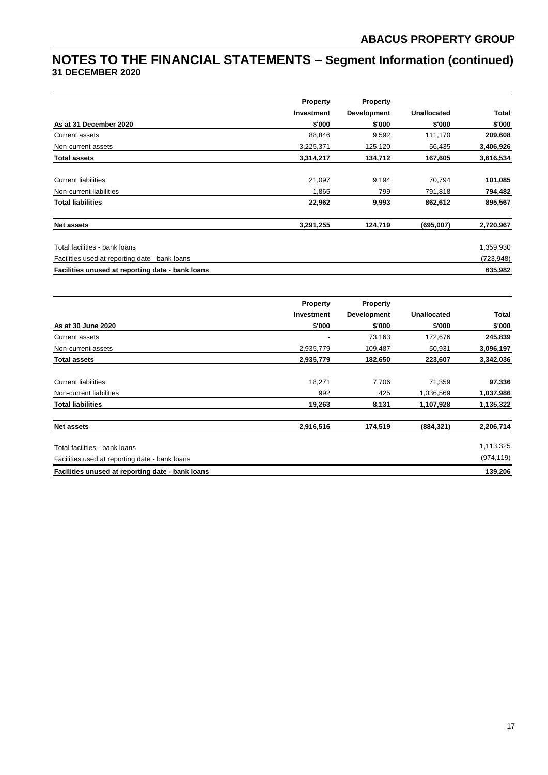# **NOTES TO THE FINANCIAL STATEMENTS – Segment Information (continued) 31 DECEMBER 2020**

|                                                  | <b>Property</b> | Property           |                    |            |
|--------------------------------------------------|-----------------|--------------------|--------------------|------------|
|                                                  | Investment      | <b>Development</b> | <b>Unallocated</b> | Total      |
| As at 31 December 2020                           | \$'000          | \$'000             | \$'000             | \$'000     |
| Current assets                                   | 88,846          | 9,592              | 111,170            | 209,608    |
| Non-current assets                               | 3,225,371       | 125,120            | 56,435             | 3,406,926  |
| <b>Total assets</b>                              | 3,314,217       | 134,712            | 167,605            | 3,616,534  |
| <b>Current liabilities</b>                       | 21,097          | 9,194              | 70,794             | 101,085    |
| Non-current liabilities                          | 1,865           | 799                | 791,818            | 794,482    |
| <b>Total liabilities</b>                         | 22,962          | 9,993              | 862,612            | 895,567    |
| <b>Net assets</b>                                | 3,291,255       | 124,719            | (695,007)          | 2,720,967  |
| Total facilities - bank loans                    |                 |                    |                    | 1,359,930  |
| Facilities used at reporting date - bank loans   |                 |                    |                    | (723, 948) |
| Facilities unused at reporting date - bank loans |                 |                    |                    | 635,982    |

|                                                  | <b>Property</b> | Property           |                    |              |
|--------------------------------------------------|-----------------|--------------------|--------------------|--------------|
|                                                  | Investment      | <b>Development</b> | <b>Unallocated</b> | <b>Total</b> |
| As at 30 June 2020                               | \$'000          | \$'000             | \$'000             | \$'000       |
| Current assets                                   |                 | 73,163             | 172,676            | 245,839      |
| Non-current assets                               | 2,935,779       | 109,487            | 50,931             | 3,096,197    |
| <b>Total assets</b>                              | 2,935,779       | 182,650            | 223,607            | 3,342,036    |
| <b>Current liabilities</b>                       | 18,271          | 7,706              | 71,359             | 97,336       |
| Non-current liabilities                          | 992             | 425                | 1,036,569          | 1,037,986    |
| <b>Total liabilities</b>                         | 19,263          | 8,131              | 1,107,928          | 1,135,322    |
| <b>Net assets</b>                                | 2,916,516       | 174,519            | (884, 321)         | 2,206,714    |
| Total facilities - bank loans                    |                 |                    |                    | 1,113,325    |
| Facilities used at reporting date - bank loans   |                 |                    |                    | (974, 119)   |
| Facilities unused at reporting date - bank loans |                 |                    |                    | 139,206      |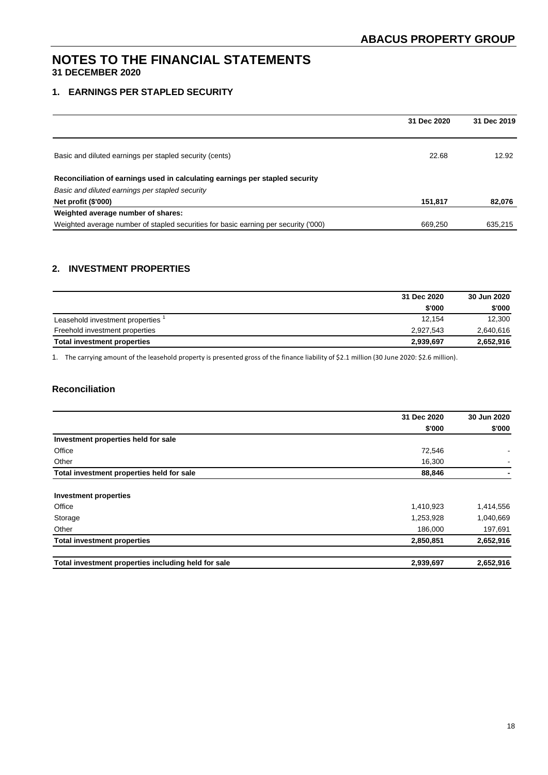# **1. EARNINGS PER STAPLED SECURITY**

|                                                                                     | 31 Dec 2020 | 31 Dec 2019 |
|-------------------------------------------------------------------------------------|-------------|-------------|
|                                                                                     |             |             |
| Basic and diluted earnings per stapled security (cents)                             | 22.68       | 12.92       |
| Reconciliation of earnings used in calculating earnings per stapled security        |             |             |
| Basic and diluted earnings per stapled security                                     |             |             |
| Net profit (\$'000)                                                                 | 151,817     | 82,076      |
| Weighted average number of shares:                                                  |             |             |
| Weighted average number of stapled securities for basic earning per security ('000) | 669,250     | 635,215     |

# **2. INVESTMENT PROPERTIES**

|                                 | 31 Dec 2020 | 30 Jun 2020 |
|---------------------------------|-------------|-------------|
|                                 | \$'000      | \$'000      |
| Leasehold investment properties | 12.154      | 12,300      |
| Freehold investment properties  | 2.927.543   | 2,640,616   |
| Total investment properties     | 2,939,697   | 2,652,916   |

1. The carrying amount of the leasehold property is presented gross of the finance liability of \$2.1 million (30 June 2020: \$2.6 million).

# **Reconciliation**

|                                                     | 31 Dec 2020 | 30 Jun 2020 |
|-----------------------------------------------------|-------------|-------------|
|                                                     | \$'000      | \$'000      |
| Investment properties held for sale                 |             |             |
| Office                                              | 72,546      |             |
| Other                                               | 16,300      |             |
| Total investment properties held for sale           | 88,846      |             |
|                                                     |             |             |
| <b>Investment properties</b>                        |             |             |
| Office                                              | 1,410,923   | 1,414,556   |
| Storage                                             | 1,253,928   | 1,040,669   |
| Other                                               | 186,000     | 197,691     |
| <b>Total investment properties</b>                  | 2,850,851   | 2,652,916   |
| Total investment properties including held for sale | 2,939,697   | 2,652,916   |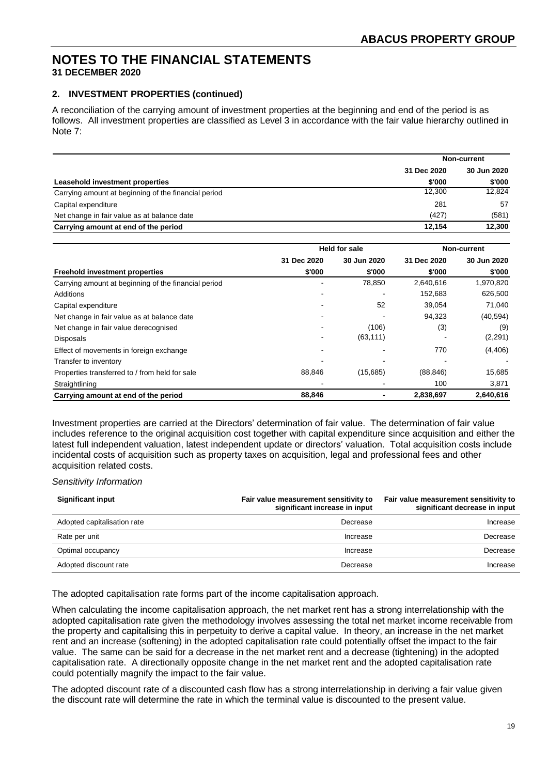# **2. INVESTMENT PROPERTIES (continued)**

A reconciliation of the carrying amount of investment properties at the beginning and end of the period is as follows. All investment properties are classified as Level 3 in accordance with the fair value hierarchy outlined in Note 7:

|                                                      | Non-current |             |
|------------------------------------------------------|-------------|-------------|
|                                                      | 31 Dec 2020 | 30 Jun 2020 |
| Leasehold investment properties                      | \$'000      | \$'000      |
| Carrying amount at beginning of the financial period | 12,300      | 12,824      |
| Capital expenditure                                  | 281         | 57          |
| Net change in fair value as at balance date          | (427)       | (581)       |
| Carrying amount at end of the period                 | 12.154      | 12,300      |

|                                                      |             | <b>Held for sale</b> | Non-current |             |  |
|------------------------------------------------------|-------------|----------------------|-------------|-------------|--|
|                                                      | 31 Dec 2020 | 30 Jun 2020          | 31 Dec 2020 | 30 Jun 2020 |  |
| <b>Freehold investment properties</b>                | \$'000      | \$'000               | \$'000      | \$'000      |  |
| Carrying amount at beginning of the financial period |             | 78,850               | 2,640,616   | 1,970,820   |  |
| Additions                                            |             |                      | 152,683     | 626,500     |  |
| Capital expenditure                                  |             | 52                   | 39,054      | 71,040      |  |
| Net change in fair value as at balance date          |             |                      | 94,323      | (40, 594)   |  |
| Net change in fair value derecognised                |             | (106)                | (3)         | (9)         |  |
| <b>Disposals</b>                                     |             | (63, 111)            |             | (2,291)     |  |
| Effect of movements in foreign exchange              |             |                      | 770         | (4, 406)    |  |
| Transfer to inventory                                |             |                      |             |             |  |
| Properties transferred to / from held for sale       | 88,846      | (15,685)             | (88, 846)   | 15,685      |  |
| Straightlining                                       |             |                      | 100         | 3,871       |  |
| Carrying amount at end of the period                 | 88,846      |                      | 2,838,697   | 2,640,616   |  |

Investment properties are carried at the Directors' determination of fair value. The determination of fair value includes reference to the original acquisition cost together with capital expenditure since acquisition and either the latest full independent valuation, latest independent update or directors' valuation. Total acquisition costs include incidental costs of acquisition such as property taxes on acquisition, legal and professional fees and other acquisition related costs.

#### *Sensitivity Information*

| <b>Significant input</b>    | Fair value measurement sensitivity to<br>significant increase in input | Fair value measurement sensitivity to<br>significant decrease in input |
|-----------------------------|------------------------------------------------------------------------|------------------------------------------------------------------------|
| Adopted capitalisation rate | Decrease                                                               | Increase                                                               |
| Rate per unit               | Increase                                                               | Decrease                                                               |
| Optimal occupancy           | Increase                                                               | Decrease                                                               |
| Adopted discount rate       | Decrease                                                               | Increase                                                               |

The adopted capitalisation rate forms part of the income capitalisation approach.

When calculating the income capitalisation approach, the net market rent has a strong interrelationship with the adopted capitalisation rate given the methodology involves assessing the total net market income receivable from the property and capitalising this in perpetuity to derive a capital value. In theory, an increase in the net market rent and an increase (softening) in the adopted capitalisation rate could potentially offset the impact to the fair value. The same can be said for a decrease in the net market rent and a decrease (tightening) in the adopted capitalisation rate. A directionally opposite change in the net market rent and the adopted capitalisation rate could potentially magnify the impact to the fair value.

The adopted discount rate of a discounted cash flow has a strong interrelationship in deriving a fair value given the discount rate will determine the rate in which the terminal value is discounted to the present value.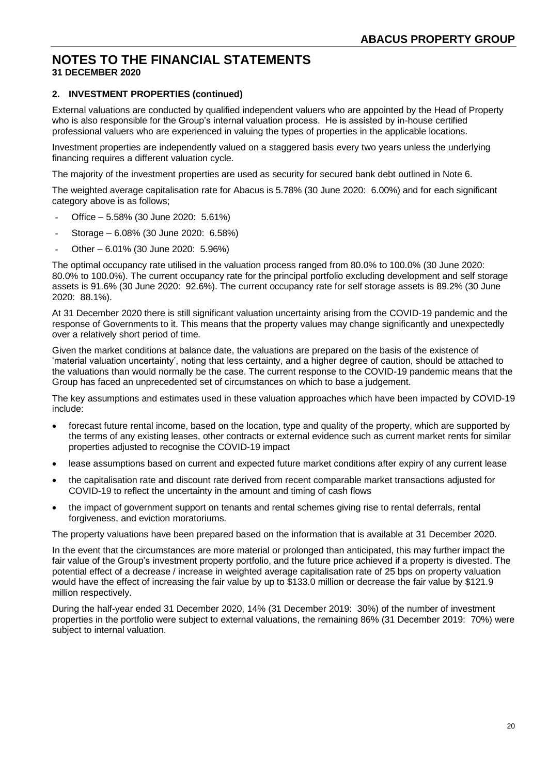# **2. INVESTMENT PROPERTIES (continued)**

External valuations are conducted by qualified independent valuers who are appointed by the Head of Property who is also responsible for the Group's internal valuation process. He is assisted by in-house certified professional valuers who are experienced in valuing the types of properties in the applicable locations.

Investment properties are independently valued on a staggered basis every two years unless the underlying financing requires a different valuation cycle.

The majority of the investment properties are used as security for secured bank debt outlined in Note 6.

The weighted average capitalisation rate for Abacus is 5.78% (30 June 2020: 6.00%) and for each significant category above is as follows;

- Office 5.58% (30 June 2020: 5.61%)
- Storage 6.08% (30 June 2020: 6.58%)
- Other 6.01% (30 June 2020: 5.96%)

The optimal occupancy rate utilised in the valuation process ranged from 80.0% to 100.0% (30 June 2020: 80.0% to 100.0%). The current occupancy rate for the principal portfolio excluding development and self storage assets is 91.6% (30 June 2020: 92.6%). The current occupancy rate for self storage assets is 89.2% (30 June 2020: 88.1%).

At 31 December 2020 there is still significant valuation uncertainty arising from the COVID-19 pandemic and the response of Governments to it. This means that the property values may change significantly and unexpectedly over a relatively short period of time.

Given the market conditions at balance date, the valuations are prepared on the basis of the existence of 'material valuation uncertainty', noting that less certainty, and a higher degree of caution, should be attached to the valuations than would normally be the case. The current response to the COVID-19 pandemic means that the Group has faced an unprecedented set of circumstances on which to base a judgement.

The key assumptions and estimates used in these valuation approaches which have been impacted by COVID-19 include:

- forecast future rental income, based on the location, type and quality of the property, which are supported by the terms of any existing leases, other contracts or external evidence such as current market rents for similar properties adjusted to recognise the COVID-19 impact
- lease assumptions based on current and expected future market conditions after expiry of any current lease
- the capitalisation rate and discount rate derived from recent comparable market transactions adjusted for COVID-19 to reflect the uncertainty in the amount and timing of cash flows
- the impact of government support on tenants and rental schemes giving rise to rental deferrals, rental forgiveness, and eviction moratoriums.

The property valuations have been prepared based on the information that is available at 31 December 2020.

In the event that the circumstances are more material or prolonged than anticipated, this may further impact the fair value of the Group's investment property portfolio, and the future price achieved if a property is divested. The potential effect of a decrease / increase in weighted average capitalisation rate of 25 bps on property valuation would have the effect of increasing the fair value by up to \$133.0 million or decrease the fair value by \$121.9 million respectively.

During the half-year ended 31 December 2020, 14% (31 December 2019: 30%) of the number of investment properties in the portfolio were subject to external valuations, the remaining 86% (31 December 2019: 70%) were subject to internal valuation.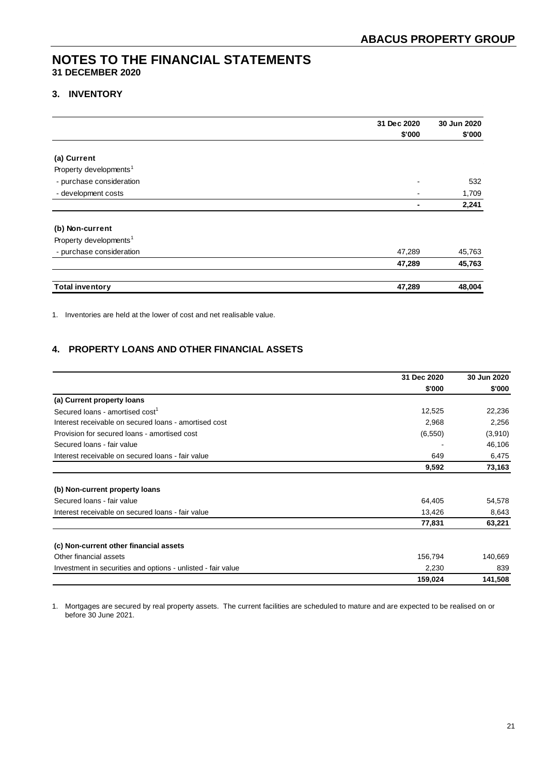### **3. INVENTORY**

|                                    | 31 Dec 2020    | 30 Jun 2020 |
|------------------------------------|----------------|-------------|
|                                    | \$'000         | \$'000      |
|                                    |                |             |
| (a) Current                        |                |             |
| Property developments <sup>1</sup> |                |             |
| - purchase consideration           |                | 532         |
| - development costs                | $\blacksquare$ | 1,709       |
|                                    | ٠              | 2,241       |
| (b) Non-current                    |                |             |
| Property developments <sup>1</sup> |                |             |
| - purchase consideration           | 47,289         | 45,763      |
|                                    | 47,289         | 45,763      |
| <b>Total inventory</b>             | 47,289         | 48,004      |

1. Inventories are held at the lower of cost and net realisable value.

# **4. PROPERTY LOANS AND OTHER FINANCIAL ASSETS**

|                                                              | 31 Dec 2020 | 30 Jun 2020 |
|--------------------------------------------------------------|-------------|-------------|
|                                                              | \$'000      | \$'000      |
| (a) Current property loans                                   |             |             |
| Secured loans - amortised cost <sup>1</sup>                  | 12,525      | 22,236      |
| Interest receivable on secured loans - amortised cost        | 2,968       | 2,256       |
| Provision for secured loans - amortised cost                 | (6, 550)    | (3,910)     |
| Secured loans - fair value                                   |             | 46,106      |
| Interest receivable on secured loans - fair value            | 649         | 6,475       |
|                                                              | 9,592       | 73,163      |
| (b) Non-current property loans                               |             |             |
| Secured loans - fair value                                   | 64,405      | 54,578      |
| Interest receivable on secured loans - fair value            | 13,426      | 8,643       |
|                                                              | 77,831      | 63,221      |
| (c) Non-current other financial assets                       |             |             |
| Other financial assets                                       | 156,794     | 140,669     |
| Investment in securities and options - unlisted - fair value | 2,230       | 839         |
|                                                              | 159,024     | 141,508     |

1. Mortgages are secured by real property assets. The current facilities are scheduled to mature and are expected to be realised on or before 30 June 2021.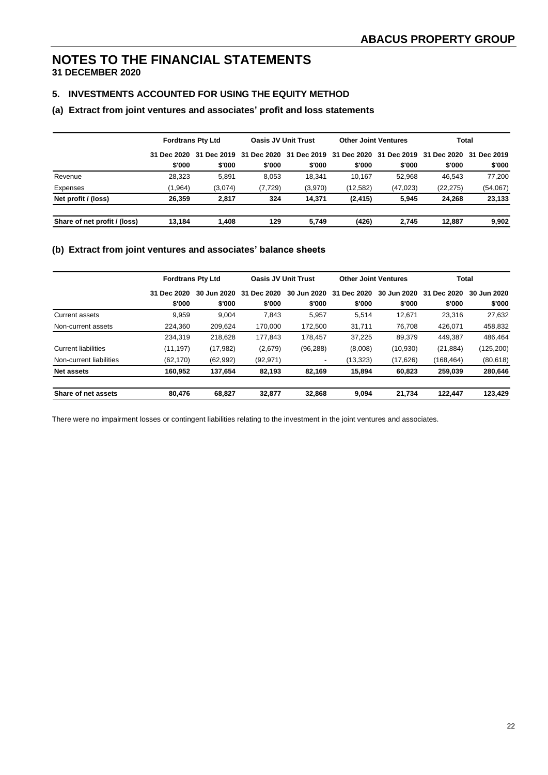# **NOTES TO THE FINANCIAL STATEMENTS**

**31 DECEMBER 2020**

# **5. INVESTMENTS ACCOUNTED FOR USING THE EQUITY METHOD**

#### **(a) Extract from joint ventures and associates' profit and loss statements**

|                              | <b>Fordtrans Pty Ltd</b> |                         |          | <b>Oasis JV Unit Trust</b>                                  | <b>Other Joint Ventures</b> |           |           | <b>Total</b> |
|------------------------------|--------------------------|-------------------------|----------|-------------------------------------------------------------|-----------------------------|-----------|-----------|--------------|
|                              |                          | 31 Dec 2020 31 Dec 2019 |          | 31 Dec 2020 31 Dec 2019 31 Dec 2020 31 Dec 2019 31 Dec 2020 |                             |           |           | 31 Dec 2019  |
|                              | \$'000                   | \$'000                  | \$'000   | \$'000                                                      | \$'000                      | \$'000    | \$'000    | \$'000       |
| Revenue                      | 28,323                   | 5.891                   | 8.053    | 18,341                                                      | 10.167                      | 52.968    | 46.543    | 77,200       |
| Expenses                     | (1,964)                  | (3,074)                 | (7, 729) | (3,970)                                                     | (12,582)                    | (47, 023) | (22, 275) | (54,067)     |
| Net profit / (loss)          | 26.359                   | 2.817                   | 324      | 14.371                                                      | (2, 415)                    | 5.945     | 24.268    | 23,133       |
| Share of net profit / (loss) | 13.184                   | 1.408                   | 129      | 5.749                                                       | (426)                       | 2.745     | 12.887    | 9,902        |

### **(b) Extract from joint ventures and associates' balance sheets**

|                         | <b>Fordtrans Pty Ltd</b> |             | <b>Oasis JV Unit Trust</b> |                          | <b>Other Joint Ventures</b> |             | <b>Total</b> |             |
|-------------------------|--------------------------|-------------|----------------------------|--------------------------|-----------------------------|-------------|--------------|-------------|
|                         | 31 Dec 2020              | 30 Jun 2020 | Dec 2020<br>31             | 30 Jun 2020              | Dec 2020<br>31              | 30 Jun 2020 | 31 Dec 2020  | 30 Jun 2020 |
|                         | \$'000                   | \$'000      | \$'000                     | \$'000                   | \$'000                      | \$'000      | \$'000       | \$'000      |
| Current assets          | 9,959                    | 9,004       | 7.843                      | 5,957                    | 5,514                       | 12.671      | 23.316       | 27,632      |
| Non-current assets      | 224.360                  | 209.624     | 170.000                    | 172.500                  | 31.711                      | 76.708      | 426.071      | 458,832     |
|                         | 234,319                  | 218.628     | 177.843                    | 178.457                  | 37.225                      | 89.379      | 449,387      | 486.464     |
| Current liabilities     | (11, 197)                | (17, 982)   | (2,679)                    | (96, 288)                | (8,008)                     | (10, 930)   | (21, 884)    | (125, 200)  |
| Non-current liabilities | (62, 170)                | (62,992)    | (92, 971)                  | $\overline{\phantom{a}}$ | (13, 323)                   | (17, 626)   | (168.464)    | (80, 618)   |
| <b>Net assets</b>       | 160,952                  | 137,654     | 82,193                     | 82,169                   | 15,894                      | 60,823      | 259,039      | 280,646     |
| Share of net assets     | 80.476                   | 68.827      | 32.877                     | 32.868                   | 9.094                       | 21.734      | 122.447      | 123,429     |

There were no impairment losses or contingent liabilities relating to the investment in the joint ventures and associates.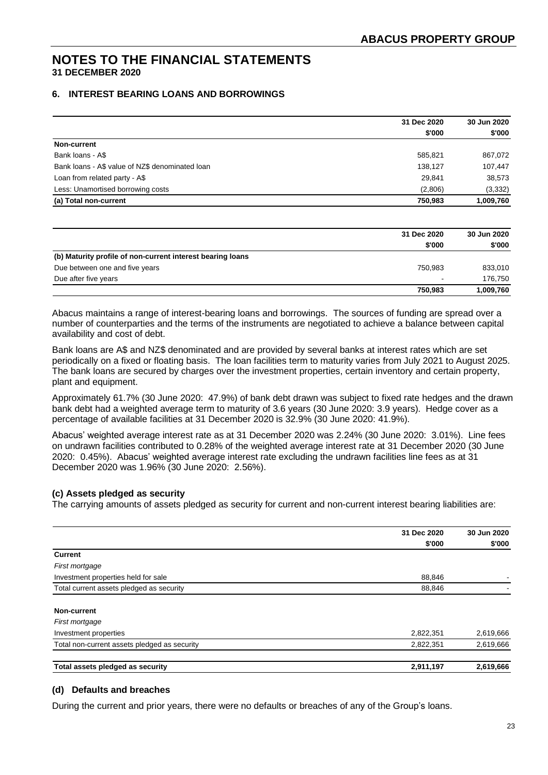# **6. INTEREST BEARING LOANS AND BORROWINGS**

|                                                 | 31 Dec 2020 | 30 Jun 2020 |
|-------------------------------------------------|-------------|-------------|
|                                                 | \$'000      | \$'000      |
| Non-current                                     |             |             |
| Bank loans - A\$                                | 585,821     | 867,072     |
| Bank loans - A\$ value of NZ\$ denominated loan | 138.127     | 107,447     |
| Loan from related party - A\$                   | 29,841      | 38,573      |
| Less: Unamortised borrowing costs               | (2,806)     | (3, 332)    |
| (a) Total non-current                           | 750,983     | 1,009,760   |

|                                                            | 31 Dec 2020 | 30 Jun 2020 |
|------------------------------------------------------------|-------------|-------------|
|                                                            | \$'000      | \$'000      |
| (b) Maturity profile of non-current interest bearing loans |             |             |
| Due between one and five years                             | 750.983     | 833,010     |
| Due after five years                                       | $\sim$      | 176.750     |
|                                                            | 750.983     | 1,009,760   |

Abacus maintains a range of interest-bearing loans and borrowings. The sources of funding are spread over a number of counterparties and the terms of the instruments are negotiated to achieve a balance between capital availability and cost of debt.

Bank loans are A\$ and NZ\$ denominated and are provided by several banks at interest rates which are set periodically on a fixed or floating basis. The loan facilities term to maturity varies from July 2021 to August 2025. The bank loans are secured by charges over the investment properties, certain inventory and certain property, plant and equipment.

Approximately 61.7% (30 June 2020: 47.9%) of bank debt drawn was subject to fixed rate hedges and the drawn bank debt had a weighted average term to maturity of 3.6 years (30 June 2020: 3.9 years). Hedge cover as a percentage of available facilities at 31 December 2020 is 32.9% (30 June 2020: 41.9%).

Abacus' weighted average interest rate as at 31 December 2020 was 2.24% (30 June 2020: 3.01%). Line fees on undrawn facilities contributed to 0.28% of the weighted average interest rate at 31 December 2020 (30 June 2020: 0.45%). Abacus' weighted average interest rate excluding the undrawn facilities line fees as at 31 December 2020 was 1.96% (30 June 2020: 2.56%).

# **(c) Assets pledged as security**

The carrying amounts of assets pledged as security for current and non-current interest bearing liabilities are:

|                                              | 31 Dec 2020 | 30 Jun 2020 |
|----------------------------------------------|-------------|-------------|
|                                              | \$'000      | \$'000      |
| <b>Current</b>                               |             |             |
| First mortgage                               |             |             |
| Investment properties held for sale          | 88,846      |             |
| Total current assets pledged as security     | 88,846      |             |
| Non-current                                  |             |             |
| First mortgage                               |             |             |
| Investment properties                        | 2,822,351   | 2,619,666   |
| Total non-current assets pledged as security | 2,822,351   | 2,619,666   |
| Total assets pledged as security             | 2,911,197   | 2,619,666   |

# **(d) Defaults and breaches**

During the current and prior years, there were no defaults or breaches of any of the Group's loans.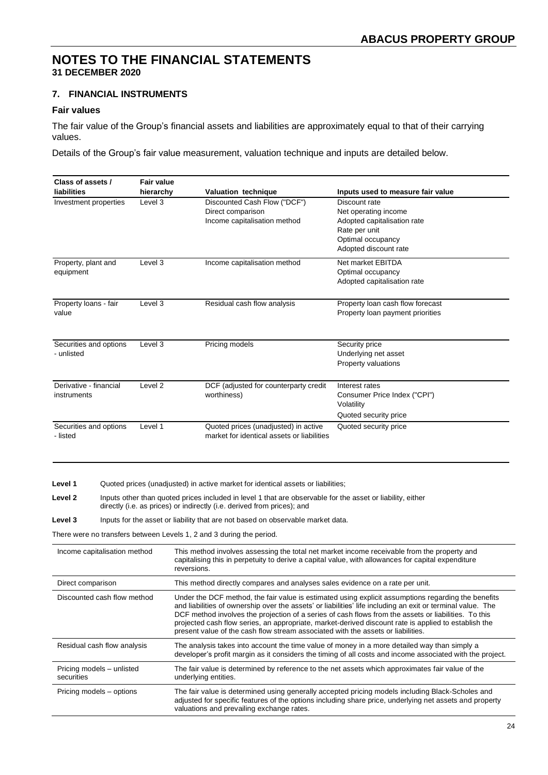# **7. FINANCIAL INSTRUMENTS**

# **Fair values**

The fair value of the Group's financial assets and liabilities are approximately equal to that of their carrying values.

Details of the Group's fair value measurement, valuation technique and inputs are detailed below.

| Class of assets /                       | <b>Fair value</b> |                                                                                                                                                                                       |                                                                                                                                                                                                                                                                                                                                                                                                                                    |
|-----------------------------------------|-------------------|---------------------------------------------------------------------------------------------------------------------------------------------------------------------------------------|------------------------------------------------------------------------------------------------------------------------------------------------------------------------------------------------------------------------------------------------------------------------------------------------------------------------------------------------------------------------------------------------------------------------------------|
| liabilities                             | hierarchy         | Valuation technique                                                                                                                                                                   | Inputs used to measure fair value                                                                                                                                                                                                                                                                                                                                                                                                  |
| Investment properties                   | Level $3$         | Discounted Cash Flow ("DCF")<br>Direct comparison<br>Income capitalisation method                                                                                                     | Discount rate<br>Net operating income<br>Adopted capitalisation rate<br>Rate per unit<br>Optimal occupancy<br>Adopted discount rate                                                                                                                                                                                                                                                                                                |
| Property, plant and<br>equipment        | Level 3           | Income capitalisation method                                                                                                                                                          | Net market EBITDA<br>Optimal occupancy<br>Adopted capitalisation rate                                                                                                                                                                                                                                                                                                                                                              |
| Property loans - fair<br>value          | Level 3           | Residual cash flow analysis                                                                                                                                                           | Property loan cash flow forecast<br>Property loan payment priorities                                                                                                                                                                                                                                                                                                                                                               |
| Securities and options<br>- unlisted    | Level 3           | Pricing models                                                                                                                                                                        | Security price<br>Underlying net asset<br>Property valuations                                                                                                                                                                                                                                                                                                                                                                      |
| Derivative - financial<br>instruments   | Level 2           | DCF (adjusted for counterparty credit<br>worthiness)                                                                                                                                  | Interest rates<br>Consumer Price Index ("CPI")<br>Volatility<br>Quoted security price                                                                                                                                                                                                                                                                                                                                              |
| Securities and options<br>- listed      | Level 1           | Quoted prices (unadjusted) in active<br>market for identical assets or liabilities                                                                                                    | Quoted security price                                                                                                                                                                                                                                                                                                                                                                                                              |
| Level 1                                 |                   | Quoted prices (unadjusted) in active market for identical assets or liabilities;                                                                                                      |                                                                                                                                                                                                                                                                                                                                                                                                                                    |
| Level 2                                 |                   | Inputs other than quoted prices included in level 1 that are observable for the asset or liability, either<br>directly (i.e. as prices) or indirectly (i.e. derived from prices); and |                                                                                                                                                                                                                                                                                                                                                                                                                                    |
| Level 3                                 |                   | Inputs for the asset or liability that are not based on observable market data.                                                                                                       |                                                                                                                                                                                                                                                                                                                                                                                                                                    |
|                                         |                   | There were no transfers between Levels 1, 2 and 3 during the period.                                                                                                                  |                                                                                                                                                                                                                                                                                                                                                                                                                                    |
| Income capitalisation method            |                   | reversions.                                                                                                                                                                           | This method involves assessing the total net market income receivable from the property and<br>capitalising this in perpetuity to derive a capital value, with allowances for capital expenditure                                                                                                                                                                                                                                  |
| Direct comparison                       |                   | This method directly compares and analyses sales evidence on a rate per unit.                                                                                                         |                                                                                                                                                                                                                                                                                                                                                                                                                                    |
| Discounted cash flow method             |                   | present value of the cash flow stream associated with the assets or liabilities.                                                                                                      | Under the DCF method, the fair value is estimated using explicit assumptions regarding the benefits<br>and liabilities of ownership over the assets' or liabilities' life including an exit or terminal value. The<br>DCF method involves the projection of a series of cash flows from the assets or liabilities. To this<br>projected cash flow series, an appropriate, market-derived discount rate is applied to establish the |
| Residual cash flow analysis             |                   |                                                                                                                                                                                       | The analysis takes into account the time value of money in a more detailed way than simply a<br>developer's profit margin as it considers the timing of all costs and income associated with the project.                                                                                                                                                                                                                          |
| Pricing models - unlisted<br>securities |                   | underlying entities.                                                                                                                                                                  | The fair value is determined by reference to the net assets which approximates fair value of the                                                                                                                                                                                                                                                                                                                                   |
| Pricing models - options                |                   | valuations and prevailing exchange rates.                                                                                                                                             | The fair value is determined using generally accepted pricing models including Black-Scholes and<br>adjusted for specific features of the options including share price, underlying net assets and property                                                                                                                                                                                                                        |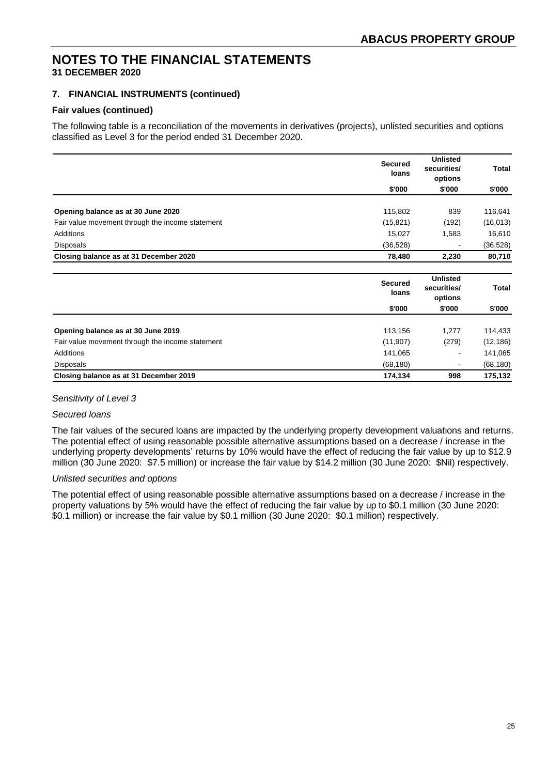# **7. FINANCIAL INSTRUMENTS (continued)**

### **Fair values (continued)**

The following table is a reconciliation of the movements in derivatives (projects), unlisted securities and options classified as Level 3 for the period ended 31 December 2020.

|                                                  | <b>Secured</b><br>loans | <b>Unlisted</b><br>securities/<br>options | Total        |
|--------------------------------------------------|-------------------------|-------------------------------------------|--------------|
|                                                  | \$'000                  | \$'000                                    | \$'000       |
| Opening balance as at 30 June 2020               | 115,802                 | 839                                       | 116,641      |
| Fair value movement through the income statement | (15, 821)               | (192)                                     | (16, 013)    |
| Additions                                        | 15,027                  | 1,583                                     | 16,610       |
| <b>Disposals</b>                                 | (36, 528)               |                                           | (36, 528)    |
| Closing balance as at 31 December 2020           | 78,480                  | 2,230                                     | 80,710       |
|                                                  |                         |                                           |              |
|                                                  |                         |                                           |              |
|                                                  | <b>Secured</b><br>loans | <b>Unlisted</b><br>securities/<br>options | <b>Total</b> |
|                                                  | \$'000                  | \$'000                                    | \$'000       |
| Opening balance as at 30 June 2019               | 113,156                 | 1,277                                     | 114,433      |
| Fair value movement through the income statement | (11, 907)               | (279)                                     | (12, 186)    |
| Additions                                        | 141,065                 |                                           | 141,065      |
| <b>Disposals</b>                                 | (68, 180)               |                                           | (68, 180)    |

#### *Sensitivity of Level 3*

### *Secured loans*

The fair values of the secured loans are impacted by the underlying property development valuations and returns. The potential effect of using reasonable possible alternative assumptions based on a decrease / increase in the underlying property developments' returns by 10% would have the effect of reducing the fair value by up to \$12.9 million (30 June 2020: \$7.5 million) or increase the fair value by \$14.2 million (30 June 2020: \$Nil) respectively.

# *Unlisted securities and options*

The potential effect of using reasonable possible alternative assumptions based on a decrease / increase in the property valuations by 5% would have the effect of reducing the fair value by up to \$0.1 million (30 June 2020: \$0.1 million) or increase the fair value by \$0.1 million (30 June 2020: \$0.1 million) respectively.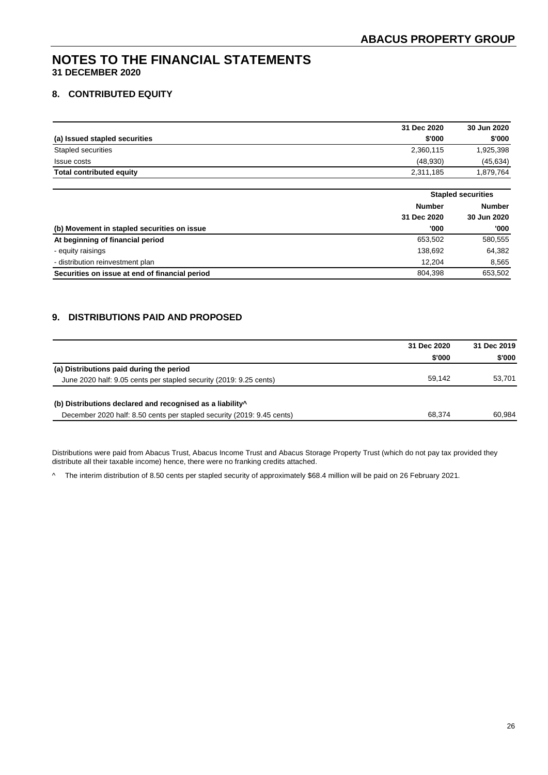# **8. CONTRIBUTED EQUITY**

|                                 | 31 Dec 2020 | 30 Jun 2020 |
|---------------------------------|-------------|-------------|
| (a) Issued stapled securities   | \$'000      | \$'000      |
| Stapled securities              | 2,360,115   | 1,925,398   |
| <b>Issue costs</b>              | (48.930)    | (45, 634)   |
| <b>Total contributed equity</b> | 2,311,185   | 1,879,764   |

|                                                |               | <b>Stapled securities</b> |  |
|------------------------------------------------|---------------|---------------------------|--|
|                                                | <b>Number</b> | <b>Number</b>             |  |
|                                                | 31 Dec 2020   | 30 Jun 2020               |  |
| (b) Movement in stapled securities on issue    | '000          | '000                      |  |
| At beginning of financial period               | 653.502       | 580,555                   |  |
| - equity raisings                              | 138,692       | 64,382                    |  |
| - distribution reinvestment plan               | 12.204        | 8,565                     |  |
| Securities on issue at end of financial period | 804.398       | 653.502                   |  |

# **9. DISTRIBUTIONS PAID AND PROPOSED**

|                                                                        | 31 Dec 2020 | 31 Dec 2019 |
|------------------------------------------------------------------------|-------------|-------------|
|                                                                        | \$'000      | \$'000      |
| (a) Distributions paid during the period                               |             |             |
| June 2020 half: 9.05 cents per stapled security (2019: 9.25 cents)     | 59.142      | 53.701      |
| (b) Distributions declared and recognised as a liability <sup>^</sup>  |             |             |
| December 2020 half: 8.50 cents per stapled security (2019: 9.45 cents) | 68.374      | 60.984      |

Distributions were paid from Abacus Trust, Abacus Income Trust and Abacus Storage Property Trust (which do not pay tax provided they distribute all their taxable income) hence, there were no franking credits attached.

^ The interim distribution of 8.50 cents per stapled security of approximately \$68.4 million will be paid on 26 February 2021.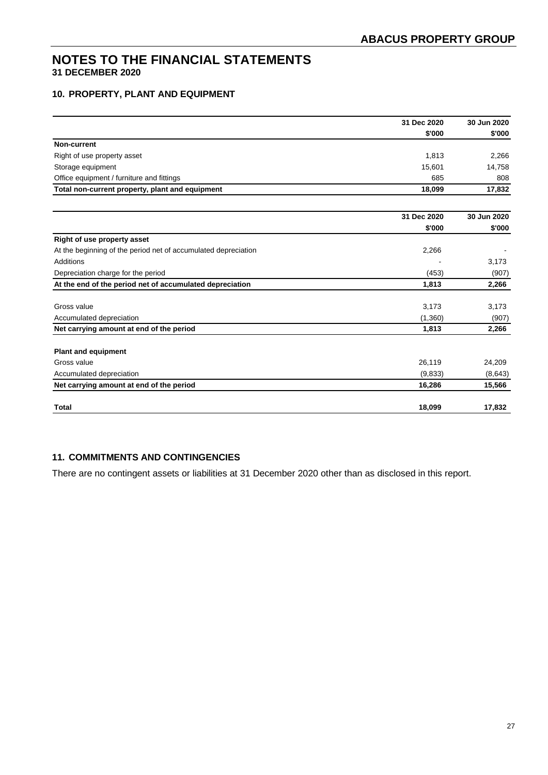# **10. PROPERTY, PLANT AND EQUIPMENT**

|                                                                | 31 Dec 2020 | 30 Jun 2020 |
|----------------------------------------------------------------|-------------|-------------|
|                                                                | \$'000      | \$'000      |
| Non-current                                                    |             |             |
| Right of use property asset                                    | 1,813       | 2,266       |
| Storage equipment                                              | 15,601      | 14,758      |
| Office equipment / furniture and fittings                      | 685         | 808         |
| Total non-current property, plant and equipment                | 18.099      | 17,832      |
|                                                                | 31 Dec 2020 | 30 Jun 2020 |
|                                                                | \$'000      | \$'000      |
| Right of use property asset                                    |             |             |
| At the beginning of the period net of accumulated depreciation | 2,266       |             |
| Additions                                                      |             | 3,173       |
| Depreciation charge for the period                             | (453)       | (907)       |
| At the end of the period net of accumulated depreciation       | 1,813       | 2,266       |
| Gross value                                                    | 3,173       | 3,173       |
| Accumulated depreciation                                       | (1,360)     | (907)       |
| Net carrying amount at end of the period                       | 1,813       | 2,266       |
| <b>Plant and equipment</b>                                     |             |             |
| Gross value                                                    | 26,119      | 24,209      |
| Accumulated depreciation                                       | (9,833)     | (8,643)     |
| Net carrying amount at end of the period                       | 16,286      | 15,566      |
| <b>Total</b>                                                   | 18,099      | 17,832      |

# **11. COMMITMENTS AND CONTINGENCIES**

There are no contingent assets or liabilities at 31 December 2020 other than as disclosed in this report.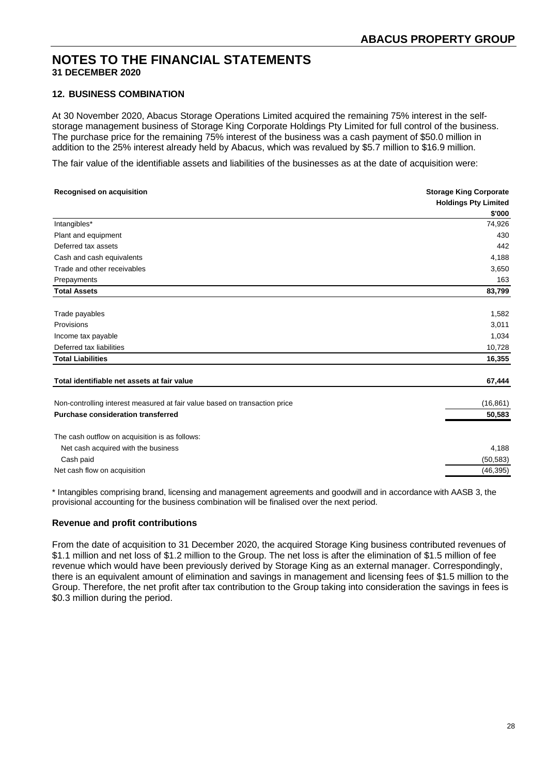# **12. BUSINESS COMBINATION**

At 30 November 2020, Abacus Storage Operations Limited acquired the remaining 75% interest in the selfstorage management business of Storage King Corporate Holdings Pty Limited for full control of the business. The purchase price for the remaining 75% interest of the business was a cash payment of \$50.0 million in addition to the 25% interest already held by Abacus, which was revalued by \$5.7 million to \$16.9 million.

The fair value of the identifiable assets and liabilities of the businesses as at the date of acquisition were:

| <b>Storage King Corporate</b> |  |
|-------------------------------|--|
| <b>Holdings Pty Limited</b>   |  |
| \$'000                        |  |
| 74,926                        |  |
| 430                           |  |
| 442                           |  |
| 4,188                         |  |
| 3,650                         |  |
| 163                           |  |
| 83,799                        |  |
| 1,582                         |  |
| 3,011                         |  |
| 1,034                         |  |
| 10,728                        |  |
| 16,355                        |  |
| 67,444                        |  |
| (16, 861)                     |  |
| 50,583                        |  |
|                               |  |
|                               |  |
| 4,188                         |  |
| (50, 583)                     |  |
| (46, 395)                     |  |
|                               |  |

\* Intangibles comprising brand, licensing and management agreements and goodwill and in accordance with AASB 3, the provisional accounting for the business combination will be finalised over the next period.

# **Revenue and profit contributions**

From the date of acquisition to 31 December 2020, the acquired Storage King business contributed revenues of \$1.1 million and net loss of \$1.2 million to the Group. The net loss is after the elimination of \$1.5 million of fee revenue which would have been previously derived by Storage King as an external manager. Correspondingly, there is an equivalent amount of elimination and savings in management and licensing fees of \$1.5 million to the Group. Therefore, the net profit after tax contribution to the Group taking into consideration the savings in fees is \$0.3 million during the period.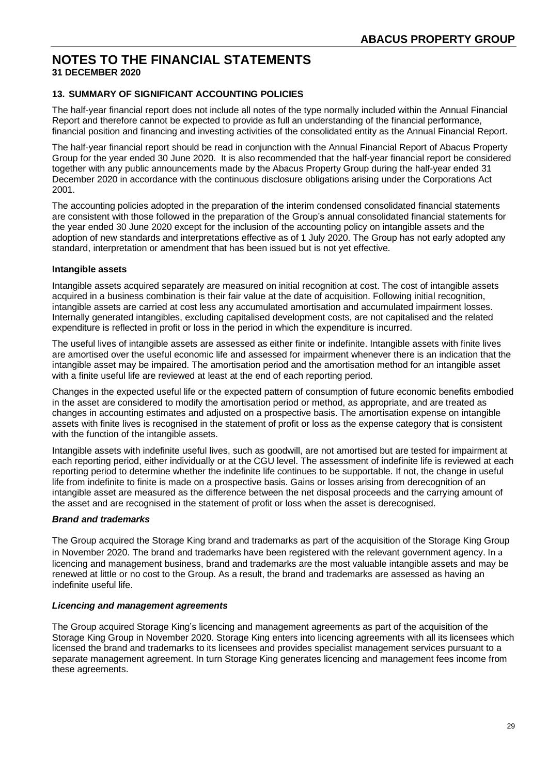# **13. SUMMARY OF SIGNIFICANT ACCOUNTING POLICIES**

The half-year financial report does not include all notes of the type normally included within the Annual Financial Report and therefore cannot be expected to provide as full an understanding of the financial performance, financial position and financing and investing activities of the consolidated entity as the Annual Financial Report.

The half-year financial report should be read in conjunction with the Annual Financial Report of Abacus Property Group for the year ended 30 June 2020. It is also recommended that the half-year financial report be considered together with any public announcements made by the Abacus Property Group during the half-year ended 31 December 2020 in accordance with the continuous disclosure obligations arising under the Corporations Act 2001.

The accounting policies adopted in the preparation of the interim condensed consolidated financial statements are consistent with those followed in the preparation of the Group's annual consolidated financial statements for the year ended 30 June 2020 except for the inclusion of the accounting policy on intangible assets and the adoption of new standards and interpretations effective as of 1 July 2020. The Group has not early adopted any standard, interpretation or amendment that has been issued but is not yet effective.

# **Intangible assets**

Intangible assets acquired separately are measured on initial recognition at cost. The cost of intangible assets acquired in a business combination is their fair value at the date of acquisition. Following initial recognition, intangible assets are carried at cost less any accumulated amortisation and accumulated impairment losses. Internally generated intangibles, excluding capitalised development costs, are not capitalised and the related expenditure is reflected in profit or loss in the period in which the expenditure is incurred.

The useful lives of intangible assets are assessed as either finite or indefinite. Intangible assets with finite lives are amortised over the useful economic life and assessed for impairment whenever there is an indication that the intangible asset may be impaired. The amortisation period and the amortisation method for an intangible asset with a finite useful life are reviewed at least at the end of each reporting period.

Changes in the expected useful life or the expected pattern of consumption of future economic benefits embodied in the asset are considered to modify the amortisation period or method, as appropriate, and are treated as changes in accounting estimates and adjusted on a prospective basis. The amortisation expense on intangible assets with finite lives is recognised in the statement of profit or loss as the expense category that is consistent with the function of the intangible assets.

Intangible assets with indefinite useful lives, such as goodwill, are not amortised but are tested for impairment at each reporting period, either individually or at the CGU level. The assessment of indefinite life is reviewed at each reporting period to determine whether the indefinite life continues to be supportable. If not, the change in useful life from indefinite to finite is made on a prospective basis. Gains or losses arising from derecognition of an intangible asset are measured as the difference between the net disposal proceeds and the carrying amount of the asset and are recognised in the statement of profit or loss when the asset is derecognised.

# *Brand and trademarks*

The Group acquired the Storage King brand and trademarks as part of the acquisition of the Storage King Group in November 2020. The brand and trademarks have been registered with the relevant government agency. In a licencing and management business, brand and trademarks are the most valuable intangible assets and may be renewed at little or no cost to the Group. As a result, the brand and trademarks are assessed as having an indefinite useful life.

# *Licencing and management agreements*

The Group acquired Storage King's licencing and management agreements as part of the acquisition of the Storage King Group in November 2020. Storage King enters into licencing agreements with all its licensees which licensed the brand and trademarks to its licensees and provides specialist management services pursuant to a separate management agreement. In turn Storage King generates licencing and management fees income from these agreements.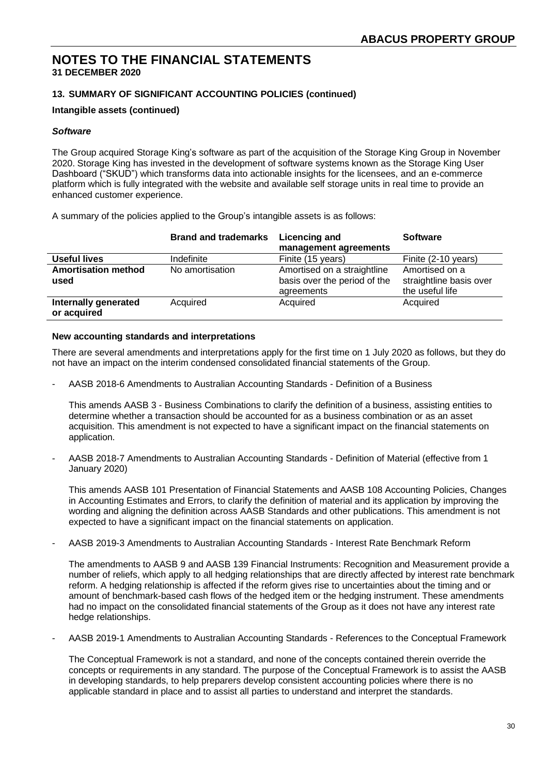# **NOTES TO THE FINANCIAL STATEMENTS**

**31 DECEMBER 2020**

# **13. SUMMARY OF SIGNIFICANT ACCOUNTING POLICIES (continued)**

### **Intangible assets (continued)**

#### *Software*

The Group acquired Storage King's software as part of the acquisition of the Storage King Group in November 2020. Storage King has invested in the development of software systems known as the Storage King User Dashboard ("SKUD") which transforms data into actionable insights for the licensees, and an e-commerce platform which is fully integrated with the website and available self storage units in real time to provide an enhanced customer experience.

A summary of the policies applied to the Group's intangible assets is as follows:

|                                     | <b>Brand and trademarks</b> | <b>Licencing and</b><br>management agreements                             | <b>Software</b>                                              |
|-------------------------------------|-----------------------------|---------------------------------------------------------------------------|--------------------------------------------------------------|
| <b>Useful lives</b>                 | Indefinite                  | Finite (15 years)                                                         | Finite (2-10 years)                                          |
| <b>Amortisation method</b><br>used  | No amortisation             | Amortised on a straightline<br>basis over the period of the<br>agreements | Amortised on a<br>straightline basis over<br>the useful life |
| Internally generated<br>or acquired | Acquired                    | Acquired                                                                  | Acquired                                                     |

#### **New accounting standards and interpretations**

There are several amendments and interpretations apply for the first time on 1 July 2020 as follows, but they do not have an impact on the interim condensed consolidated financial statements of the Group.

- AASB 2018-6 Amendments to Australian Accounting Standards - Definition of a Business

This amends AASB 3 - Business Combinations to clarify the definition of a business, assisting entities to determine whether a transaction should be accounted for as a business combination or as an asset acquisition. This amendment is not expected to have a significant impact on the financial statements on application.

- AASB 2018-7 Amendments to Australian Accounting Standards - Definition of Material (effective from 1 January 2020)

This amends AASB 101 Presentation of Financial Statements and AASB 108 Accounting Policies, Changes in Accounting Estimates and Errors, to clarify the definition of material and its application by improving the wording and aligning the definition across AASB Standards and other publications. This amendment is not expected to have a significant impact on the financial statements on application.

- AASB 2019-3 Amendments to Australian Accounting Standards - Interest Rate Benchmark Reform

The amendments to AASB 9 and AASB 139 Financial Instruments: Recognition and Measurement provide a number of reliefs, which apply to all hedging relationships that are directly affected by interest rate benchmark reform. A hedging relationship is affected if the reform gives rise to uncertainties about the timing and or amount of benchmark-based cash flows of the hedged item or the hedging instrument. These amendments had no impact on the consolidated financial statements of the Group as it does not have any interest rate hedge relationships.

- AASB 2019-1 Amendments to Australian Accounting Standards - References to the Conceptual Framework

The Conceptual Framework is not a standard, and none of the concepts contained therein override the concepts or requirements in any standard. The purpose of the Conceptual Framework is to assist the AASB in developing standards, to help preparers develop consistent accounting policies where there is no applicable standard in place and to assist all parties to understand and interpret the standards.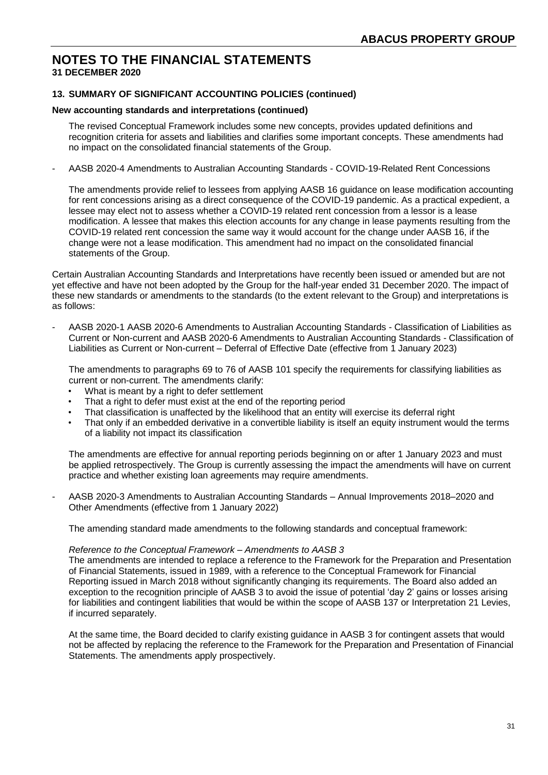# **13. SUMMARY OF SIGNIFICANT ACCOUNTING POLICIES (continued)**

#### **New accounting standards and interpretations (continued)**

The revised Conceptual Framework includes some new concepts, provides updated definitions and recognition criteria for assets and liabilities and clarifies some important concepts. These amendments had no impact on the consolidated financial statements of the Group.

- AASB 2020-4 Amendments to Australian Accounting Standards - COVID-19-Related Rent Concessions

The amendments provide relief to lessees from applying AASB 16 guidance on lease modification accounting for rent concessions arising as a direct consequence of the COVID-19 pandemic. As a practical expedient, a lessee may elect not to assess whether a COVID-19 related rent concession from a lessor is a lease modification. A lessee that makes this election accounts for any change in lease payments resulting from the COVID-19 related rent concession the same way it would account for the change under AASB 16, if the change were not a lease modification. This amendment had no impact on the consolidated financial statements of the Group.

Certain Australian Accounting Standards and Interpretations have recently been issued or amended but are not yet effective and have not been adopted by the Group for the half-year ended 31 December 2020. The impact of these new standards or amendments to the standards (to the extent relevant to the Group) and interpretations is as follows:

- AASB 2020-1 AASB 2020-6 Amendments to Australian Accounting Standards - Classification of Liabilities as Current or Non-current and AASB 2020-6 Amendments to Australian Accounting Standards - Classification of Liabilities as Current or Non-current – Deferral of Effective Date (effective from 1 January 2023)

The amendments to paragraphs 69 to 76 of AASB 101 specify the requirements for classifying liabilities as current or non-current. The amendments clarify:

- What is meant by a right to defer settlement
- That a right to defer must exist at the end of the reporting period
- That classification is unaffected by the likelihood that an entity will exercise its deferral right
- That only if an embedded derivative in a convertible liability is itself an equity instrument would the terms of a liability not impact its classification

The amendments are effective for annual reporting periods beginning on or after 1 January 2023 and must be applied retrospectively. The Group is currently assessing the impact the amendments will have on current practice and whether existing loan agreements may require amendments.

- AASB 2020-3 Amendments to Australian Accounting Standards – Annual Improvements 2018–2020 and Other Amendments (effective from 1 January 2022)

The amending standard made amendments to the following standards and conceptual framework:

#### *Reference to the Conceptual Framework – Amendments to AASB 3*

The amendments are intended to replace a reference to the Framework for the Preparation and Presentation of Financial Statements, issued in 1989, with a reference to the Conceptual Framework for Financial Reporting issued in March 2018 without significantly changing its requirements. The Board also added an exception to the recognition principle of AASB 3 to avoid the issue of potential 'day 2' gains or losses arising for liabilities and contingent liabilities that would be within the scope of AASB 137 or Interpretation 21 Levies, if incurred separately.

At the same time, the Board decided to clarify existing guidance in AASB 3 for contingent assets that would not be affected by replacing the reference to the Framework for the Preparation and Presentation of Financial Statements. The amendments apply prospectively.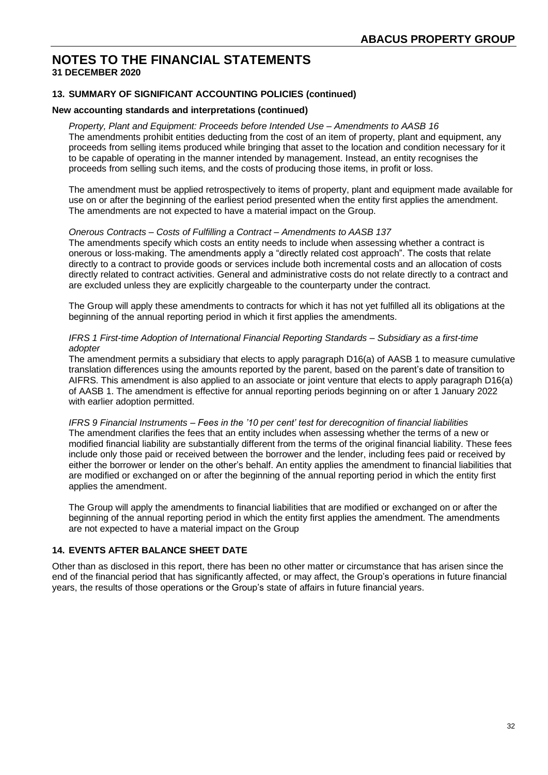# **13. SUMMARY OF SIGNIFICANT ACCOUNTING POLICIES (continued)**

#### **New accounting standards and interpretations (continued)**

*Property, Plant and Equipment: Proceeds before Intended Use – Amendments to AASB 16* The amendments prohibit entities deducting from the cost of an item of property, plant and equipment, any proceeds from selling items produced while bringing that asset to the location and condition necessary for it to be capable of operating in the manner intended by management. Instead, an entity recognises the proceeds from selling such items, and the costs of producing those items, in profit or loss.

The amendment must be applied retrospectively to items of property, plant and equipment made available for use on or after the beginning of the earliest period presented when the entity first applies the amendment. The amendments are not expected to have a material impact on the Group.

#### *Onerous Contracts – Costs of Fulfilling a Contract – Amendments to AASB 137*

The amendments specify which costs an entity needs to include when assessing whether a contract is onerous or loss-making. The amendments apply a "directly related cost approach". The costs that relate directly to a contract to provide goods or services include both incremental costs and an allocation of costs directly related to contract activities. General and administrative costs do not relate directly to a contract and are excluded unless they are explicitly chargeable to the counterparty under the contract.

The Group will apply these amendments to contracts for which it has not yet fulfilled all its obligations at the beginning of the annual reporting period in which it first applies the amendments.

#### *IFRS 1 First-time Adoption of International Financial Reporting Standards – Subsidiary as a first-time adopter*

The amendment permits a subsidiary that elects to apply paragraph D16(a) of AASB 1 to measure cumulative translation differences using the amounts reported by the parent, based on the parent's date of transition to AIFRS. This amendment is also applied to an associate or joint venture that elects to apply paragraph D16(a) of AASB 1. The amendment is effective for annual reporting periods beginning on or after 1 January 2022 with earlier adoption permitted.

*IFRS 9 Financial Instruments – Fees in the '10 per cent' test for derecognition of financial liabilities* The amendment clarifies the fees that an entity includes when assessing whether the terms of a new or modified financial liability are substantially different from the terms of the original financial liability. These fees include only those paid or received between the borrower and the lender, including fees paid or received by either the borrower or lender on the other's behalf. An entity applies the amendment to financial liabilities that are modified or exchanged on or after the beginning of the annual reporting period in which the entity first applies the amendment.

The Group will apply the amendments to financial liabilities that are modified or exchanged on or after the beginning of the annual reporting period in which the entity first applies the amendment. The amendments are not expected to have a material impact on the Group

#### **14. EVENTS AFTER BALANCE SHEET DATE**

Other than as disclosed in this report, there has been no other matter or circumstance that has arisen since the end of the financial period that has significantly affected, or may affect, the Group's operations in future financial years, the results of those operations or the Group's state of affairs in future financial years.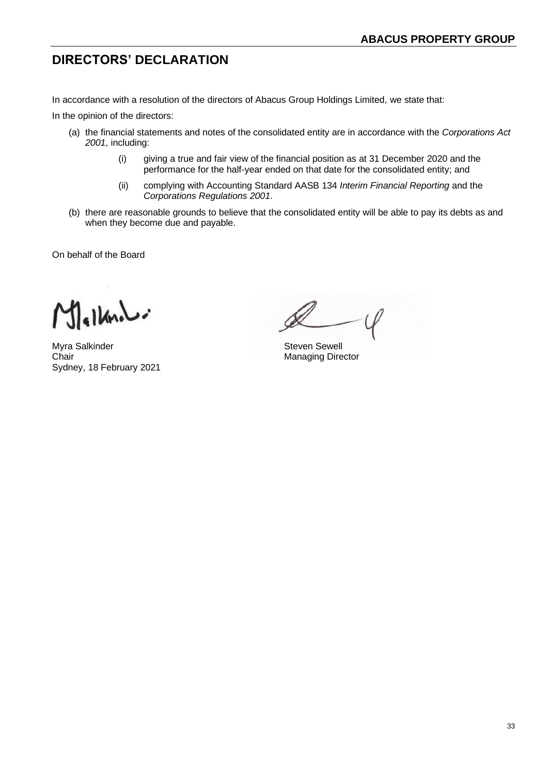# **DIRECTORS' DECLARATION**

In accordance with a resolution of the directors of Abacus Group Holdings Limited, we state that:

In the opinion of the directors:

- (a) the financial statements and notes of the consolidated entity are in accordance with the *Corporations Act 2001*, including:
	- (i) giving a true and fair view of the financial position as at 31 December 2020 and the performance for the half-year ended on that date for the consolidated entity; and
	- (ii) complying with Accounting Standard AASB 134 *Interim Financial Reporting* and the *Corporations Regulations 2001*.
- (b) there are reasonable grounds to believe that the consolidated entity will be able to pay its debts as and when they become due and payable.

On behalf of the Board

 $slkldi$ 

Myra Salkinder Steven Sewell Chair Managing Director Sydney, 18 February 2021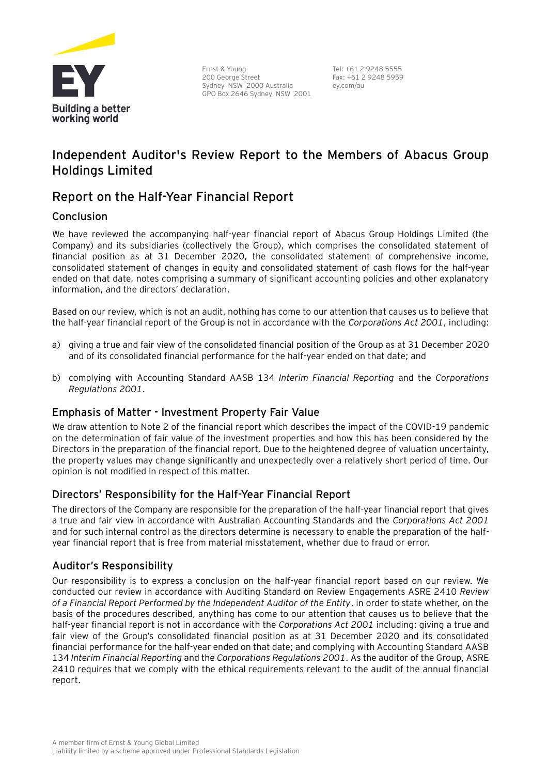

Ernst & Young 200 George Street Sydney NSW 2000 Australia GPO Box 2646 Sydney NSW 2001 Tel: +61 2 9248 5555 Fax: +61 2 9248 5959 ey.com/au

# **Independent Auditor's Review Report to the Members of Abacus Group Holdings Limited**

# **Report on the Half-Year Financial Report**

# Conclusion

We have reviewed the accompanying half-year financial report of Abacus Group Holdings Limited (the Company) and its subsidiaries (collectively the Group), which comprises the consolidated statement of financial position as at 31 December 2020, the consolidated statement of comprehensive income, consolidated statement of changes in equity and consolidated statement of cash flows for the half-year ended on that date, notes comprising a summary of significant accounting policies and other explanatory information, and the directors' declaration.

Based on our review, which is not an audit, nothing has come to our attention that causes us to believe that the half-year financial report of the Group is not in accordance with the *Corporations Act 2001*, including:

- a) giving a true and fair view of the consolidated financial position of the Group as at 31 December 2020 and of its consolidated financial performance for the half-year ended on that date; and
- b) complying with Accounting Standard AASB 134 *Interim Financial Reporting* and the *Corporations Regulations 2001*.

# Emphasis of Matter - Investment Property Fair Value

We draw attention to Note 2 of the financial report which describes the impact of the COVID-19 pandemic on the determination of fair value of the investment properties and how this has been considered by the Directors in the preparation of the financial report. Due to the heightened degree of valuation uncertainty, the property values may change significantly and unexpectedly over a relatively short period of time. Our opinion is not modified in respect of this matter.

# Directors' Responsibility for the Half-Year Financial Report

The directors of the Company are responsible for the preparation of the half-year financial report that gives a true and fair view in accordance with Australian Accounting Standards and the *Corporations Act 2001* and for such internal control as the directors determine is necessary to enable the preparation of the halfyear financial report that is free from material misstatement, whether due to fraud or error.

# Auditor's Responsibility

Our responsibility is to express a conclusion on the half-year financial report based on our review. We conducted our review in accordance with Auditing Standard on Review Engagements ASRE 2410 *Review of a Financial Report Performed by the Independent Auditor of the Entity*, in order to state whether, on the basis of the procedures described, anything has come to our attention that causes us to believe that the half-year financial report is not in accordance with the *Corporations Act 2001* including: giving a true and fair view of the Group's consolidated financial position as at 31 December 2020 and its consolidated financial performance for the half-year ended on that date; and complying with Accounting Standard AASB 134 *Interim Financial Reporting* and the *Corporations Regulations 2001*. As the auditor of the Group, ASRE 2410 requires that we comply with the ethical requirements relevant to the audit of the annual financial report.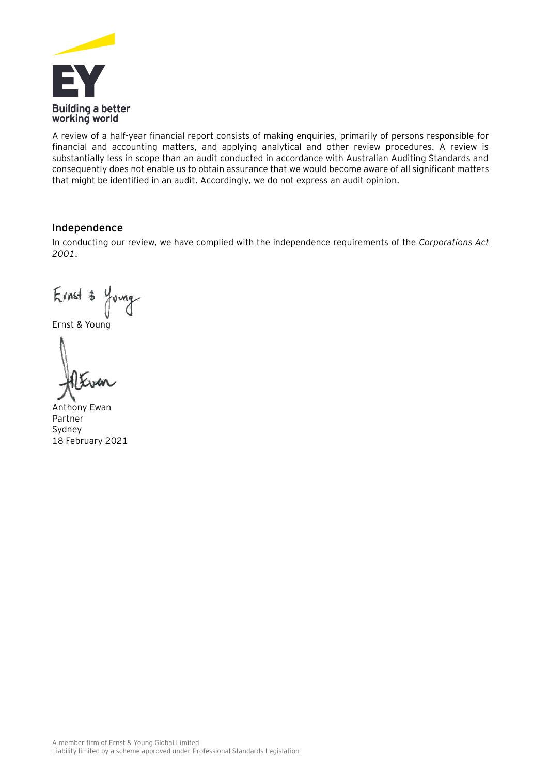

A review of a half-year financial report consists of making enquiries, primarily of persons responsible for financial and accounting matters, and applying analytical and other review procedures. A review is substantially less in scope than an audit conducted in accordance with Australian Auditing Standards and consequently does not enable us to obtain assurance that we would become aware of all significant matters that might be identified in an audit. Accordingly, we do not express an audit opinion.

# Independence

In conducting our review, we have complied with the independence requirements of the *Corporations Act 2001*.

Ernst & Young

Ernst & Young

Anthony Ewan Partner Sydney 18 February 2021